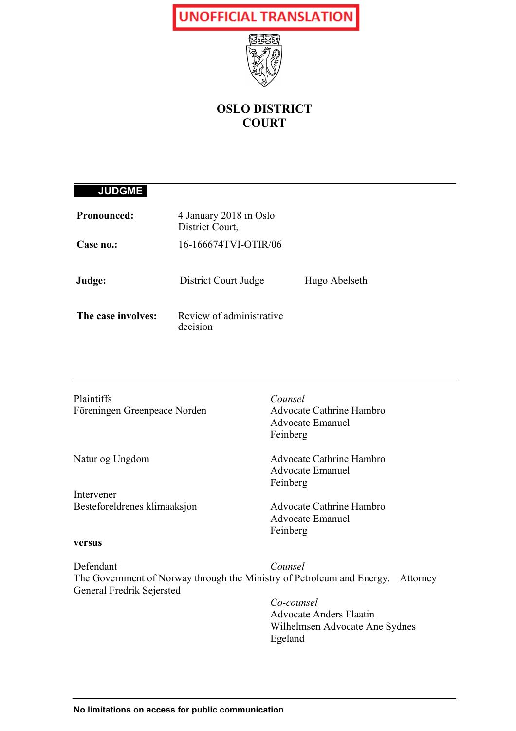

### **OSLO DISTRICT COURT**

### **JUDGME**

| <b>Pronounced:</b> | 4 January 2018 in Oslo<br>District Court, |               |
|--------------------|-------------------------------------------|---------------|
| Case no.:          | 16-166674TVI-OTIR/06                      |               |
| Judge:             | District Court Judge                      | Hugo Abelseth |
| The case involves: | Review of administrative<br>decision      |               |

| Advocate Cathrine Hambro<br><b>Advocate Emanuel</b><br>Feinberg<br>Advocate Cathrine Hambro<br><b>Advocate Emanuel</b><br>Feinberg<br>Advocate Cathrine Hambro<br><b>Advocate Emanuel</b><br>Feinberg<br>Counsel<br>The Government of Norway through the Ministry of Petroleum and Energy. Attorney<br>Co-counsel<br><b>Advocate Anders Flaatin</b><br>Wilhelmsen Advocate Ane Sydnes<br>Egeland | Plaintiffs                   | Counsel |
|--------------------------------------------------------------------------------------------------------------------------------------------------------------------------------------------------------------------------------------------------------------------------------------------------------------------------------------------------------------------------------------------------|------------------------------|---------|
|                                                                                                                                                                                                                                                                                                                                                                                                  | Föreningen Greenpeace Norden |         |
|                                                                                                                                                                                                                                                                                                                                                                                                  |                              |         |
|                                                                                                                                                                                                                                                                                                                                                                                                  |                              |         |
|                                                                                                                                                                                                                                                                                                                                                                                                  | Natur og Ungdom              |         |
|                                                                                                                                                                                                                                                                                                                                                                                                  |                              |         |
|                                                                                                                                                                                                                                                                                                                                                                                                  |                              |         |
|                                                                                                                                                                                                                                                                                                                                                                                                  | Intervener                   |         |
|                                                                                                                                                                                                                                                                                                                                                                                                  | Besteforeldrenes klimaaksjon |         |
|                                                                                                                                                                                                                                                                                                                                                                                                  |                              |         |
|                                                                                                                                                                                                                                                                                                                                                                                                  |                              |         |
|                                                                                                                                                                                                                                                                                                                                                                                                  | versus                       |         |
|                                                                                                                                                                                                                                                                                                                                                                                                  | Defendant                    |         |
|                                                                                                                                                                                                                                                                                                                                                                                                  |                              |         |
|                                                                                                                                                                                                                                                                                                                                                                                                  | General Fredrik Sejersted    |         |
|                                                                                                                                                                                                                                                                                                                                                                                                  |                              |         |
|                                                                                                                                                                                                                                                                                                                                                                                                  |                              |         |
|                                                                                                                                                                                                                                                                                                                                                                                                  |                              |         |
|                                                                                                                                                                                                                                                                                                                                                                                                  |                              |         |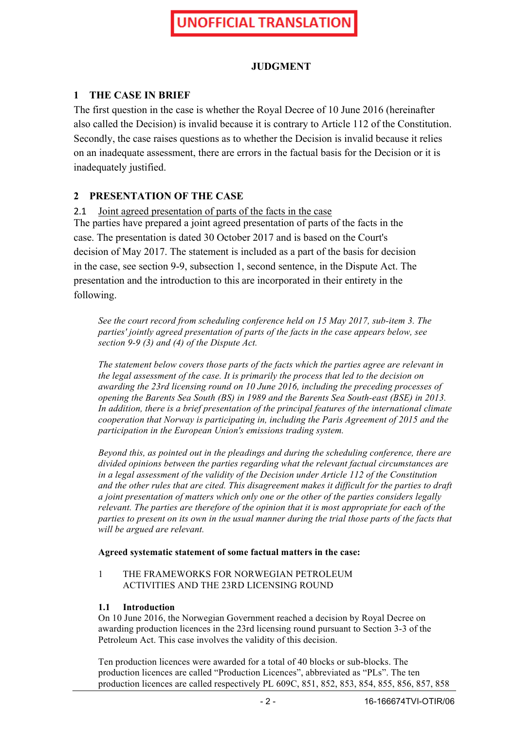#### **JUDGMENT**

#### **1 THE CASE IN BRIEF**

The first question in the case is whether the Royal Decree of 10 June 2016 (hereinafter also called the Decision) is invalid because it is contrary to Article 112 of the Constitution. Secondly, the case raises questions as to whether the Decision is invalid because it relies on an inadequate assessment, there are errors in the factual basis for the Decision or it is inadequately justified.

#### **2 PRESENTATION OF THE CASE**

2.1 Joint agreed presentation of parts of the facts in the case The parties have prepared a joint agreed presentation of parts of the facts in the case. The presentation is dated 30 October 2017 and is based on the Court's decision of May 2017. The statement is included as a part of the basis for decision in the case, see section 9-9, subsection 1, second sentence, in the Dispute Act. The presentation and the introduction to this are incorporated in their entirety in the following.

*See the court record from scheduling conference held on 15 May 2017, sub-item 3. The parties' jointly agreed presentation of parts of the facts in the case appears below, see section 9-9 (3) and (4) of the Dispute Act.*

*The statement below covers those parts of the facts which the parties agree are relevant in the legal assessment of the case. It is primarily the process that led to the decision on awarding the 23rd licensing round on 10 June 2016, including the preceding processes of opening the Barents Sea South (BS) in 1989 and the Barents Sea South-east (BSE) in 2013. In addition, there is a brief presentation of the principal features of the international climate cooperation that Norway is participating in, including the Paris Agreement of 2015 and the participation in the European Union's emissions trading system.*

*Beyond this, as pointed out in the pleadings and during the scheduling conference, there are divided opinions between the parties regarding what the relevant factual circumstances are in a legal assessment of the validity of the Decision under Article 112 of the Constitution and the other rules that are cited. This disagreement makes it difficult for the parties to draft a joint presentation of matters which only one or the other of the parties considers legally relevant. The parties are therefore of the opinion that it is most appropriate for each of the parties to present on its own in the usual manner during the trial those parts of the facts that will be argued are relevant.*

#### **Agreed systematic statement of some factual matters in the case:**

#### 1 THE FRAMEWORKS FOR NORWEGIAN PETROLEUM ACTIVITIES AND THE 23RD LICENSING ROUND

#### **1.1 Introduction**

On 10 June 2016, the Norwegian Government reached a decision by Royal Decree on awarding production licences in the 23rd licensing round pursuant to Section 3-3 of the Petroleum Act. This case involves the validity of this decision.

Ten production licences were awarded for a total of 40 blocks or sub-blocks. The production licences are called "Production Licences", abbreviated as "PLs". The ten production licences are called respectively PL 609C, 851, 852, 853, 854, 855, 856, 857, 858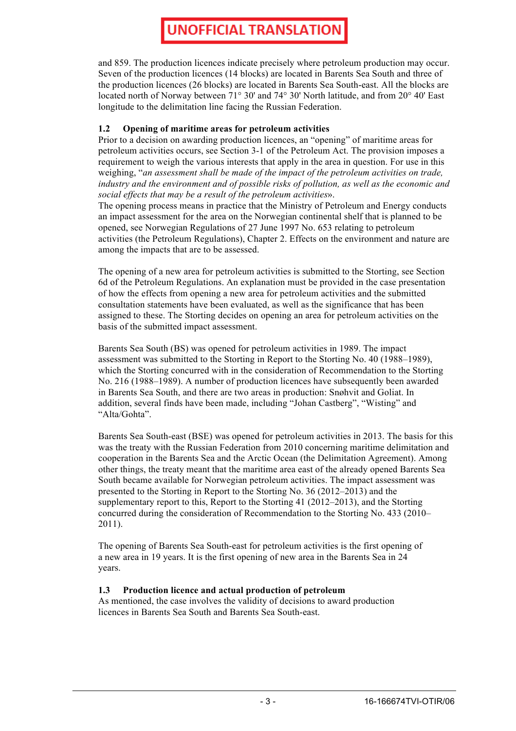and 859. The production licences indicate precisely where petroleum production may occur. Seven of the production licences (14 blocks) are located in Barents Sea South and three of the production licences (26 blocks) are located in Barents Sea South-east. All the blocks are located north of Norway between 71° 30' and 74° 30' North latitude, and from 20° 40' East longitude to the delimitation line facing the Russian Federation.

#### **1.2 Opening of maritime areas for petroleum activities**

Prior to a decision on awarding production licences, an "opening" of maritime areas for petroleum activities occurs, see Section 3-1 of the Petroleum Act. The provision imposes a requirement to weigh the various interests that apply in the area in question. For use in this weighing, "*an assessment shall be made of the impact of the petroleum activities on trade, industry and the environment and of possible risks of pollution, as well as the economic and social effects that may be a result of the petroleum activities*».

The opening process means in practice that the Ministry of Petroleum and Energy conducts an impact assessment for the area on the Norwegian continental shelf that is planned to be opened, see Norwegian Regulations of 27 June 1997 No. 653 relating to petroleum activities (the Petroleum Regulations), Chapter 2. Effects on the environment and nature are among the impacts that are to be assessed.

The opening of a new area for petroleum activities is submitted to the Storting, see Section 6d of the Petroleum Regulations. An explanation must be provided in the case presentation of how the effects from opening a new area for petroleum activities and the submitted consultation statements have been evaluated, as well as the significance that has been assigned to these. The Storting decides on opening an area for petroleum activities on the basis of the submitted impact assessment.

Barents Sea South (BS) was opened for petroleum activities in 1989. The impact assessment was submitted to the Storting in Report to the Storting No. 40 (1988–1989), which the Storting concurred with in the consideration of Recommendation to the Storting No. 216 (1988–1989). A number of production licences have subsequently been awarded in Barents Sea South, and there are two areas in production: Snøhvit and Goliat. In addition, several finds have been made, including "Johan Castberg", "Wisting" and "Alta/Gohta".

Barents Sea South-east (BSE) was opened for petroleum activities in 2013. The basis for this was the treaty with the Russian Federation from 2010 concerning maritime delimitation and cooperation in the Barents Sea and the Arctic Ocean (the Delimitation Agreement). Among other things, the treaty meant that the maritime area east of the already opened Barents Sea South became available for Norwegian petroleum activities. The impact assessment was presented to the Storting in Report to the Storting No. 36 (2012–2013) and the supplementary report to this, Report to the Storting 41 (2012–2013), and the Storting concurred during the consideration of Recommendation to the Storting No. 433 (2010– 2011).

The opening of Barents Sea South-east for petroleum activities is the first opening of a new area in 19 years. It is the first opening of new area in the Barents Sea in 24 years.

#### **1.3 Production licence and actual production of petroleum**

As mentioned, the case involves the validity of decisions to award production licences in Barents Sea South and Barents Sea South-east.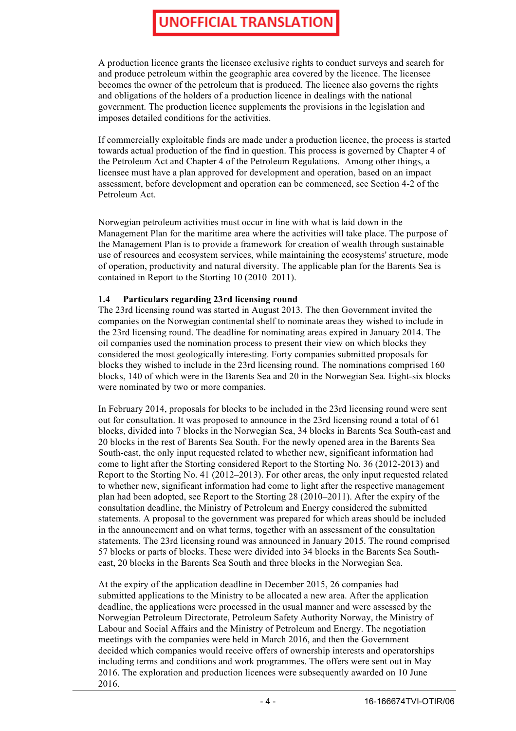A production licence grants the licensee exclusive rights to conduct surveys and search for and produce petroleum within the geographic area covered by the licence. The licensee becomes the owner of the petroleum that is produced. The licence also governs the rights and obligations of the holders of a production licence in dealings with the national government. The production licence supplements the provisions in the legislation and imposes detailed conditions for the activities.

If commercially exploitable finds are made under a production licence, the process is started towards actual production of the find in question. This process is governed by Chapter 4 of the Petroleum Act and Chapter 4 of the Petroleum Regulations. Among other things, a licensee must have a plan approved for development and operation, based on an impact assessment, before development and operation can be commenced, see Section 4-2 of the Petroleum Act.

Norwegian petroleum activities must occur in line with what is laid down in the Management Plan for the maritime area where the activities will take place. The purpose of the Management Plan is to provide a framework for creation of wealth through sustainable use of resources and ecosystem services, while maintaining the ecosystems' structure, mode of operation, productivity and natural diversity. The applicable plan for the Barents Sea is contained in Report to the Storting 10 (2010–2011).

#### **1.4 Particulars regarding 23rd licensing round**

The 23rd licensing round was started in August 2013. The then Government invited the companies on the Norwegian continental shelf to nominate areas they wished to include in the 23rd licensing round. The deadline for nominating areas expired in January 2014. The oil companies used the nomination process to present their view on which blocks they considered the most geologically interesting. Forty companies submitted proposals for blocks they wished to include in the 23rd licensing round. The nominations comprised 160 blocks, 140 of which were in the Barents Sea and 20 in the Norwegian Sea. Eight-six blocks were nominated by two or more companies.

In February 2014, proposals for blocks to be included in the 23rd licensing round were sent out for consultation. It was proposed to announce in the 23rd licensing round a total of 61 blocks, divided into 7 blocks in the Norwegian Sea, 34 blocks in Barents Sea South-east and 20 blocks in the rest of Barents Sea South. For the newly opened area in the Barents Sea South-east, the only input requested related to whether new, significant information had come to light after the Storting considered Report to the Storting No. 36 (2012-2013) and Report to the Storting No. 41 (2012–2013). For other areas, the only input requested related to whether new, significant information had come to light after the respective management plan had been adopted, see Report to the Storting 28 (2010–2011). After the expiry of the consultation deadline, the Ministry of Petroleum and Energy considered the submitted statements. A proposal to the government was prepared for which areas should be included in the announcement and on what terms, together with an assessment of the consultation statements. The 23rd licensing round was announced in January 2015. The round comprised 57 blocks or parts of blocks. These were divided into 34 blocks in the Barents Sea Southeast, 20 blocks in the Barents Sea South and three blocks in the Norwegian Sea.

At the expiry of the application deadline in December 2015, 26 companies had submitted applications to the Ministry to be allocated a new area. After the application deadline, the applications were processed in the usual manner and were assessed by the Norwegian Petroleum Directorate, Petroleum Safety Authority Norway, the Ministry of Labour and Social Affairs and the Ministry of Petroleum and Energy. The negotiation meetings with the companies were held in March 2016, and then the Government decided which companies would receive offers of ownership interests and operatorships including terms and conditions and work programmes. The offers were sent out in May 2016. The exploration and production licences were subsequently awarded on 10 June 2016.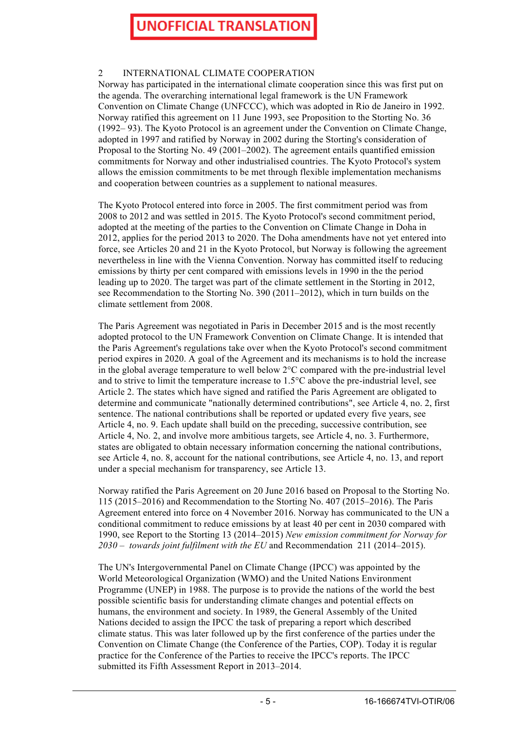#### 2 INTERNATIONAL CLIMATE COOPERATION

Norway has participated in the international climate cooperation since this was first put on the agenda. The overarching international legal framework is the UN Framework Convention on Climate Change (UNFCCC), which was adopted in Rio de Janeiro in 1992. Norway ratified this agreement on 11 June 1993, see Proposition to the Storting No. 36 (1992– 93). The Kyoto Protocol is an agreement under the Convention on Climate Change, adopted in 1997 and ratified by Norway in 2002 during the Storting's consideration of Proposal to the Storting No. 49 (2001–2002). The agreement entails quantified emission commitments for Norway and other industrialised countries. The Kyoto Protocol's system allows the emission commitments to be met through flexible implementation mechanisms and cooperation between countries as a supplement to national measures.

The Kyoto Protocol entered into force in 2005. The first commitment period was from 2008 to 2012 and was settled in 2015. The Kyoto Protocol's second commitment period, adopted at the meeting of the parties to the Convention on Climate Change in Doha in 2012, applies for the period 2013 to 2020. The Doha amendments have not yet entered into force, see Articles 20 and 21 in the Kyoto Protocol, but Norway is following the agreement nevertheless in line with the Vienna Convention. Norway has committed itself to reducing emissions by thirty per cent compared with emissions levels in 1990 in the the period leading up to 2020. The target was part of the climate settlement in the Storting in 2012, see Recommendation to the Storting No. 390 (2011–2012), which in turn builds on the climate settlement from 2008.

The Paris Agreement was negotiated in Paris in December 2015 and is the most recently adopted protocol to the UN Framework Convention on Climate Change. It is intended that the Paris Agreement's regulations take over when the Kyoto Protocol's second commitment period expires in 2020. A goal of the Agreement and its mechanisms is to hold the increase in the global average temperature to well below 2°C compared with the pre-industrial level and to strive to limit the temperature increase to 1.5°C above the pre-industrial level, see Article 2. The states which have signed and ratified the Paris Agreement are obligated to determine and communicate "nationally determined contributions", see Article 4, no. 2, first sentence. The national contributions shall be reported or updated every five years, see Article 4, no. 9. Each update shall build on the preceding, successive contribution, see Article 4, No. 2, and involve more ambitious targets, see Article 4, no. 3. Furthermore, states are obligated to obtain necessary information concerning the national contributions, see Article 4, no. 8, account for the national contributions, see Article 4, no. 13, and report under a special mechanism for transparency, see Article 13.

Norway ratified the Paris Agreement on 20 June 2016 based on Proposal to the Storting No. 115 (2015–2016) and Recommendation to the Storting No. 407 (2015–2016). The Paris Agreement entered into force on 4 November 2016. Norway has communicated to the UN a conditional commitment to reduce emissions by at least 40 per cent in 2030 compared with 1990, see Report to the Storting 13 (2014–2015) *New emission commitment for Norway for 2030* – *towards joint fulfilment with the EU* and Recommendation 211 (2014–2015).

The UN's Intergovernmental Panel on Climate Change (IPCC) was appointed by the World Meteorological Organization (WMO) and the United Nations Environment Programme (UNEP) in 1988. The purpose is to provide the nations of the world the best possible scientific basis for understanding climate changes and potential effects on humans, the environment and society. In 1989, the General Assembly of the United Nations decided to assign the IPCC the task of preparing a report which described climate status. This was later followed up by the first conference of the parties under the Convention on Climate Change (the Conference of the Parties, COP). Today it is regular practice for the Conference of the Parties to receive the IPCC's reports. The IPCC submitted its Fifth Assessment Report in 2013–2014.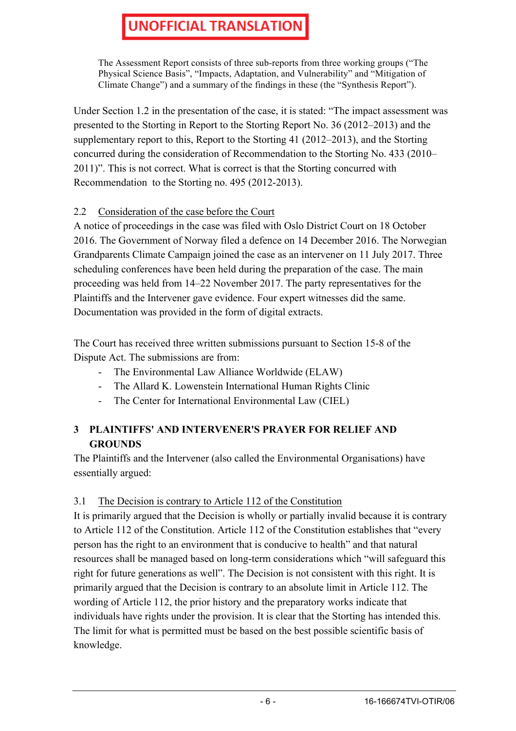The Assessment Report consists of three sub-reports from three working groups ("The Physical Science Basis", "Impacts, Adaptation, and Vulnerability" and "Mitigation of Climate Change") and a summary of the findings in these (the "Synthesis Report").

Under Section 1.2 in the presentation of the case, it is stated: "The impact assessment was presented to the Storting in Report to the Storting Report No. 36 (2012–2013) and the supplementary report to this, Report to the Storting 41 (2012–2013), and the Storting concurred during the consideration of Recommendation to the Storting No. 433 (2010– 2011)". This is not correct. What is correct is that the Storting concurred with Recommendation to the Storting no. 495 (2012-2013).

### 2.2 Consideration of the case before the Court

A notice of proceedings in the case was filed with Oslo District Court on 18 October 2016. The Government of Norway filed a defence on 14 December 2016. The Norwegian Grandparents Climate Campaign joined the case as an intervener on 11 July 2017. Three scheduling conferences have been held during the preparation of the case. The main proceeding was held from 14–22 November 2017. The party representatives for the Plaintiffs and the Intervener gave evidence. Four expert witnesses did the same. Documentation was provided in the form of digital extracts.

The Court has received three written submissions pursuant to Section 15-8 of the Dispute Act. The submissions are from:

- The Environmental Law Alliance Worldwide (ELAW)
- The Allard K. Lowenstein International Human Rights Clinic
- The Center for International Environmental Law (CIEL)

### **3 PLAINTIFFS' AND INTERVENER'S PRAYER FOR RELIEF AND GROUNDS**

The Plaintiffs and the Intervener (also called the Environmental Organisations) have essentially argued:

#### 3.1 The Decision is contrary to Article 112 of the Constitution

It is primarily argued that the Decision is wholly or partially invalid because it is contrary to Article 112 of the Constitution. Article 112 of the Constitution establishes that "every person has the right to an environment that is conducive to health" and that natural resources shall be managed based on long-term considerations which "will safeguard this right for future generations as well". The Decision is not consistent with this right. It is primarily argued that the Decision is contrary to an absolute limit in Article 112. The wording of Article 112, the prior history and the preparatory works indicate that individuals have rights under the provision. It is clear that the Storting has intended this. The limit for what is permitted must be based on the best possible scientific basis of knowledge.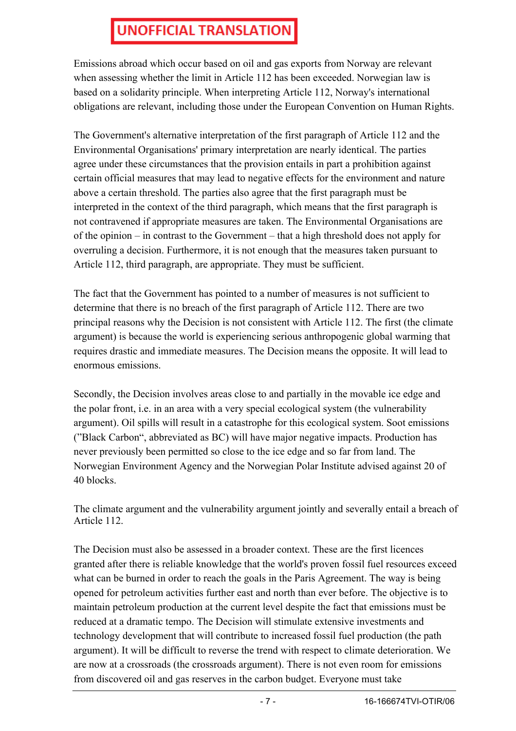Emissions abroad which occur based on oil and gas exports from Norway are relevant when assessing whether the limit in Article 112 has been exceeded. Norwegian law is based on a solidarity principle. When interpreting Article 112, Norway's international obligations are relevant, including those under the European Convention on Human Rights.

The Government's alternative interpretation of the first paragraph of Article 112 and the Environmental Organisations' primary interpretation are nearly identical. The parties agree under these circumstances that the provision entails in part a prohibition against certain official measures that may lead to negative effects for the environment and nature above a certain threshold. The parties also agree that the first paragraph must be interpreted in the context of the third paragraph, which means that the first paragraph is not contravened if appropriate measures are taken. The Environmental Organisations are of the opinion – in contrast to the Government – that a high threshold does not apply for overruling a decision. Furthermore, it is not enough that the measures taken pursuant to Article 112, third paragraph, are appropriate. They must be sufficient.

The fact that the Government has pointed to a number of measures is not sufficient to determine that there is no breach of the first paragraph of Article 112. There are two principal reasons why the Decision is not consistent with Article 112. The first (the climate argument) is because the world is experiencing serious anthropogenic global warming that requires drastic and immediate measures. The Decision means the opposite. It will lead to enormous emissions.

Secondly, the Decision involves areas close to and partially in the movable ice edge and the polar front, i.e. in an area with a very special ecological system (the vulnerability argument). Oil spills will result in a catastrophe for this ecological system. Soot emissions ("Black Carbon", abbreviated as BC) will have major negative impacts. Production has never previously been permitted so close to the ice edge and so far from land. The Norwegian Environment Agency and the Norwegian Polar Institute advised against 20 of 40 blocks.

The climate argument and the vulnerability argument jointly and severally entail a breach of Article 112.

The Decision must also be assessed in a broader context. These are the first licences granted after there is reliable knowledge that the world's proven fossil fuel resources exceed what can be burned in order to reach the goals in the Paris Agreement. The way is being opened for petroleum activities further east and north than ever before. The objective is to maintain petroleum production at the current level despite the fact that emissions must be reduced at a dramatic tempo. The Decision will stimulate extensive investments and technology development that will contribute to increased fossil fuel production (the path argument). It will be difficult to reverse the trend with respect to climate deterioration. We are now at a crossroads (the crossroads argument). There is not even room for emissions from discovered oil and gas reserves in the carbon budget. Everyone must take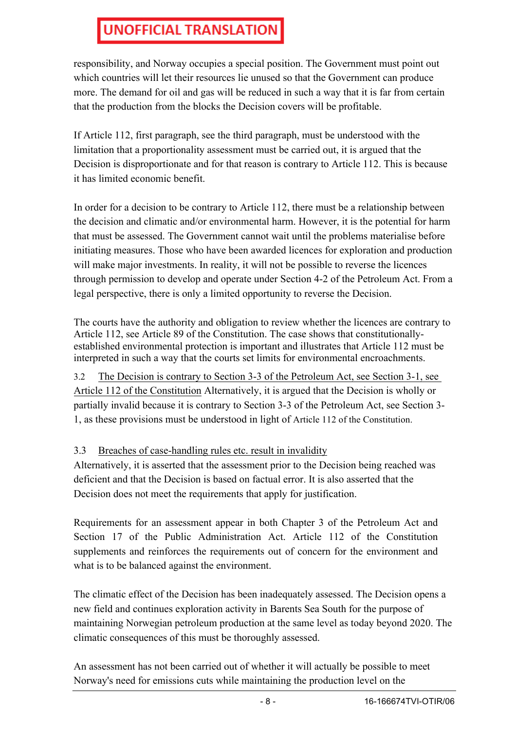responsibility, and Norway occupies a special position. The Government must point out which countries will let their resources lie unused so that the Government can produce more. The demand for oil and gas will be reduced in such a way that it is far from certain that the production from the blocks the Decision covers will be profitable.

If Article 112, first paragraph, see the third paragraph, must be understood with the limitation that a proportionality assessment must be carried out, it is argued that the Decision is disproportionate and for that reason is contrary to Article 112. This is because it has limited economic benefit.

In order for a decision to be contrary to Article 112, there must be a relationship between the decision and climatic and/or environmental harm. However, it is the potential for harm that must be assessed. The Government cannot wait until the problems materialise before initiating measures. Those who have been awarded licences for exploration and production will make major investments. In reality, it will not be possible to reverse the licences through permission to develop and operate under Section 4-2 of the Petroleum Act. From a legal perspective, there is only a limited opportunity to reverse the Decision.

The courts have the authority and obligation to review whether the licences are contrary to Article 112, see Article 89 of the Constitution. The case shows that constitutionallyestablished environmental protection is important and illustrates that Article 112 must be interpreted in such a way that the courts set limits for environmental encroachments.

3.2 The Decision is contrary to Section 3-3 of the Petroleum Act, see Section 3-1, see Article 112 of the Constitution Alternatively, it is argued that the Decision is wholly or partially invalid because it is contrary to Section 3-3 of the Petroleum Act, see Section 3- 1, as these provisions must be understood in light of Article 112 of the Constitution.

### 3.3 Breaches of case-handling rules etc. result in invalidity

Alternatively, it is asserted that the assessment prior to the Decision being reached was deficient and that the Decision is based on factual error. It is also asserted that the Decision does not meet the requirements that apply for justification.

Requirements for an assessment appear in both Chapter 3 of the Petroleum Act and Section 17 of the Public Administration Act. Article 112 of the Constitution supplements and reinforces the requirements out of concern for the environment and what is to be balanced against the environment.

The climatic effect of the Decision has been inadequately assessed. The Decision opens a new field and continues exploration activity in Barents Sea South for the purpose of maintaining Norwegian petroleum production at the same level as today beyond 2020. The climatic consequences of this must be thoroughly assessed.

An assessment has not been carried out of whether it will actually be possible to meet Norway's need for emissions cuts while maintaining the production level on the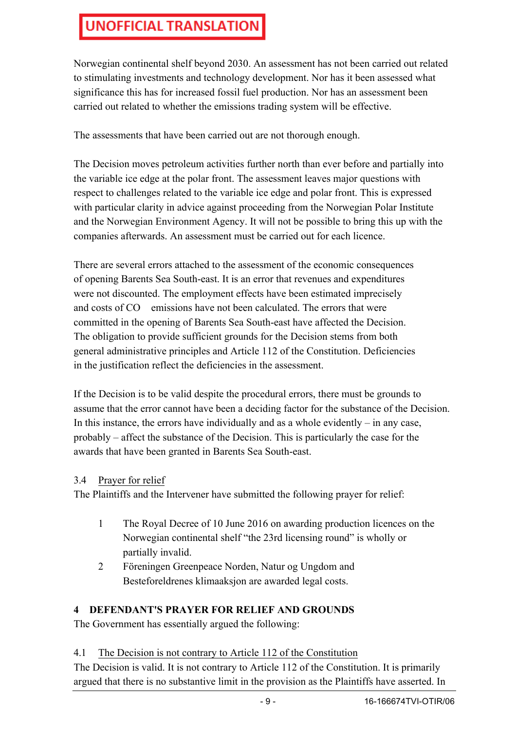Norwegian continental shelf beyond 2030. An assessment has not been carried out related to stimulating investments and technology development. Nor has it been assessed what significance this has for increased fossil fuel production. Nor has an assessment been carried out related to whether the emissions trading system will be effective.

The assessments that have been carried out are not thorough enough.

The Decision moves petroleum activities further north than ever before and partially into the variable ice edge at the polar front. The assessment leaves major questions with respect to challenges related to the variable ice edge and polar front. This is expressed with particular clarity in advice against proceeding from the Norwegian Polar Institute and the Norwegian Environment Agency. It will not be possible to bring this up with the companies afterwards. An assessment must be carried out for each licence.

There are several errors attached to the assessment of the economic consequences of opening Barents Sea South-east. It is an error that revenues and expenditures were not discounted. The employment effects have been estimated imprecisely and costs of CO emissions have not been calculated. The errors that were committed in the opening of Barents Sea South-east have affected the Decision. The obligation to provide sufficient grounds for the Decision stems from both general administrative principles and Article 112 of the Constitution. Deficiencies in the justification reflect the deficiencies in the assessment.

If the Decision is to be valid despite the procedural errors, there must be grounds to assume that the error cannot have been a deciding factor for the substance of the Decision. In this instance, the errors have individually and as a whole evidently  $-$  in any case, probably – affect the substance of the Decision. This is particularly the case for the awards that have been granted in Barents Sea South-east.

#### 3.4 Prayer for relief

The Plaintiffs and the Intervener have submitted the following prayer for relief:

- 1 The Royal Decree of 10 June 2016 on awarding production licences on the Norwegian continental shelf "the 23rd licensing round" is wholly or partially invalid.
- 2 Föreningen Greenpeace Norden, Natur og Ungdom and Besteforeldrenes klimaaksjon are awarded legal costs.

### **4 DEFENDANT'S PRAYER FOR RELIEF AND GROUNDS**

The Government has essentially argued the following:

#### 4.1 The Decision is not contrary to Article 112 of the Constitution

The Decision is valid. It is not contrary to Article 112 of the Constitution. It is primarily argued that there is no substantive limit in the provision as the Plaintiffs have asserted. In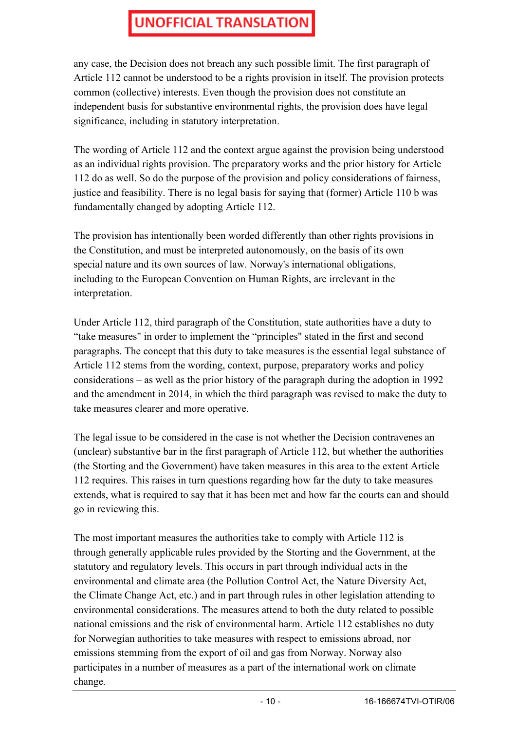any case, the Decision does not breach any such possible limit. The first paragraph of Article 112 cannot be understood to be a rights provision in itself. The provision protects common (collective) interests. Even though the provision does not constitute an independent basis for substantive environmental rights, the provision does have legal significance, including in statutory interpretation.

The wording of Article 112 and the context argue against the provision being understood as an individual rights provision. The preparatory works and the prior history for Article 112 do as well. So do the purpose of the provision and policy considerations of fairness, justice and feasibility. There is no legal basis for saying that (former) Article 110 b was fundamentally changed by adopting Article 112.

The provision has intentionally been worded differently than other rights provisions in the Constitution, and must be interpreted autonomously, on the basis of its own special nature and its own sources of law. Norway's international obligations, including to the European Convention on Human Rights, are irrelevant in the interpretation.

Under Article 112, third paragraph of the Constitution, state authorities have a duty to "take measures" in order to implement the "principles" stated in the first and second paragraphs. The concept that this duty to take measures is the essential legal substance of Article 112 stems from the wording, context, purpose, preparatory works and policy considerations – as well as the prior history of the paragraph during the adoption in 1992 and the amendment in 2014, in which the third paragraph was revised to make the duty to take measures clearer and more operative.

The legal issue to be considered in the case is not whether the Decision contravenes an (unclear) substantive bar in the first paragraph of Article 112, but whether the authorities (the Storting and the Government) have taken measures in this area to the extent Article 112 requires. This raises in turn questions regarding how far the duty to take measures extends, what is required to say that it has been met and how far the courts can and should go in reviewing this.

The most important measures the authorities take to comply with Article 112 is through generally applicable rules provided by the Storting and the Government, at the statutory and regulatory levels. This occurs in part through individual acts in the environmental and climate area (the Pollution Control Act, the Nature Diversity Act, the Climate Change Act, etc.) and in part through rules in other legislation attending to environmental considerations. The measures attend to both the duty related to possible national emissions and the risk of environmental harm. Article 112 establishes no duty for Norwegian authorities to take measures with respect to emissions abroad, nor emissions stemming from the export of oil and gas from Norway. Norway also participates in a number of measures as a part of the international work on climate change.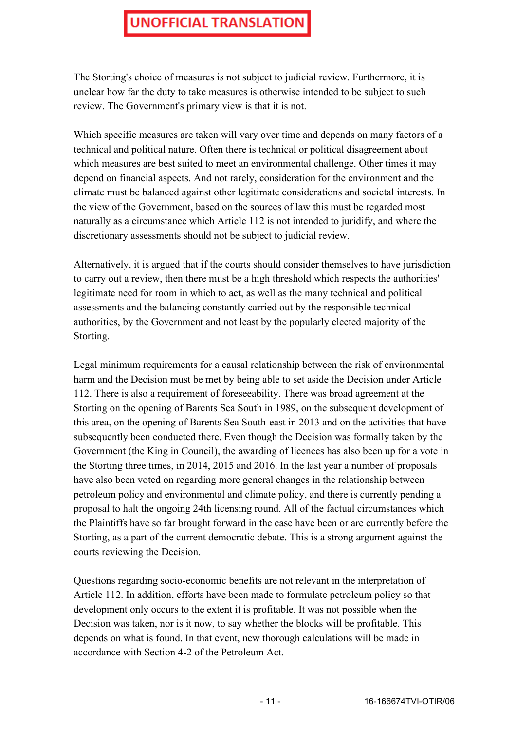The Storting's choice of measures is not subject to judicial review. Furthermore, it is unclear how far the duty to take measures is otherwise intended to be subject to such review. The Government's primary view is that it is not.

Which specific measures are taken will vary over time and depends on many factors of a technical and political nature. Often there is technical or political disagreement about which measures are best suited to meet an environmental challenge. Other times it may depend on financial aspects. And not rarely, consideration for the environment and the climate must be balanced against other legitimate considerations and societal interests. In the view of the Government, based on the sources of law this must be regarded most naturally as a circumstance which Article 112 is not intended to juridify, and where the discretionary assessments should not be subject to judicial review.

Alternatively, it is argued that if the courts should consider themselves to have jurisdiction to carry out a review, then there must be a high threshold which respects the authorities' legitimate need for room in which to act, as well as the many technical and political assessments and the balancing constantly carried out by the responsible technical authorities, by the Government and not least by the popularly elected majority of the Storting.

Legal minimum requirements for a causal relationship between the risk of environmental harm and the Decision must be met by being able to set aside the Decision under Article 112. There is also a requirement of foreseeability. There was broad agreement at the Storting on the opening of Barents Sea South in 1989, on the subsequent development of this area, on the opening of Barents Sea South-east in 2013 and on the activities that have subsequently been conducted there. Even though the Decision was formally taken by the Government (the King in Council), the awarding of licences has also been up for a vote in the Storting three times, in 2014, 2015 and 2016. In the last year a number of proposals have also been voted on regarding more general changes in the relationship between petroleum policy and environmental and climate policy, and there is currently pending a proposal to halt the ongoing 24th licensing round. All of the factual circumstances which the Plaintiffs have so far brought forward in the case have been or are currently before the Storting, as a part of the current democratic debate. This is a strong argument against the courts reviewing the Decision.

Questions regarding socio-economic benefits are not relevant in the interpretation of Article 112. In addition, efforts have been made to formulate petroleum policy so that development only occurs to the extent it is profitable. It was not possible when the Decision was taken, nor is it now, to say whether the blocks will be profitable. This depends on what is found. In that event, new thorough calculations will be made in accordance with Section 4-2 of the Petroleum Act.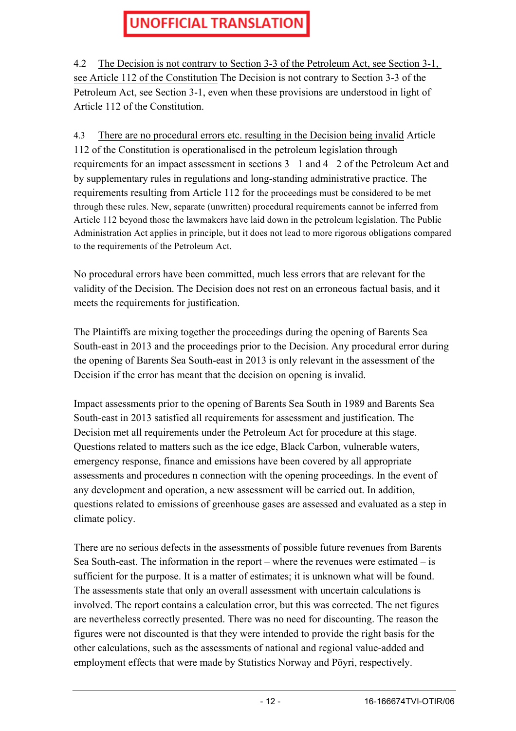4.2 The Decision is not contrary to Section 3-3 of the Petroleum Act, see Section 3-1, see Article 112 of the Constitution The Decision is not contrary to Section 3-3 of the Petroleum Act, see Section 3-1, even when these provisions are understood in light of Article 112 of the Constitution.

4.3 There are no procedural errors etc. resulting in the Decision being invalid Article 112 of the Constitution is operationalised in the petroleum legislation through requirements for an impact assessment in sections 3 1 and 4 2 of the Petroleum Act and by supplementary rules in regulations and long-standing administrative practice. The requirements resulting from Article 112 for the proceedings must be considered to be met through these rules. New, separate (unwritten) procedural requirements cannot be inferred from Article 112 beyond those the lawmakers have laid down in the petroleum legislation. The Public Administration Act applies in principle, but it does not lead to more rigorous obligations compared to the requirements of the Petroleum Act.

No procedural errors have been committed, much less errors that are relevant for the validity of the Decision. The Decision does not rest on an erroneous factual basis, and it meets the requirements for justification.

The Plaintiffs are mixing together the proceedings during the opening of Barents Sea South-east in 2013 and the proceedings prior to the Decision. Any procedural error during the opening of Barents Sea South-east in 2013 is only relevant in the assessment of the Decision if the error has meant that the decision on opening is invalid.

Impact assessments prior to the opening of Barents Sea South in 1989 and Barents Sea South-east in 2013 satisfied all requirements for assessment and justification. The Decision met all requirements under the Petroleum Act for procedure at this stage. Questions related to matters such as the ice edge, Black Carbon, vulnerable waters, emergency response, finance and emissions have been covered by all appropriate assessments and procedures n connection with the opening proceedings. In the event of any development and operation, a new assessment will be carried out. In addition, questions related to emissions of greenhouse gases are assessed and evaluated as a step in climate policy.

There are no serious defects in the assessments of possible future revenues from Barents Sea South-east. The information in the report – where the revenues were estimated – is sufficient for the purpose. It is a matter of estimates; it is unknown what will be found. The assessments state that only an overall assessment with uncertain calculations is involved. The report contains a calculation error, but this was corrected. The net figures are nevertheless correctly presented. There was no need for discounting. The reason the figures were not discounted is that they were intended to provide the right basis for the other calculations, such as the assessments of national and regional value-added and employment effects that were made by Statistics Norway and Pöyri, respectively.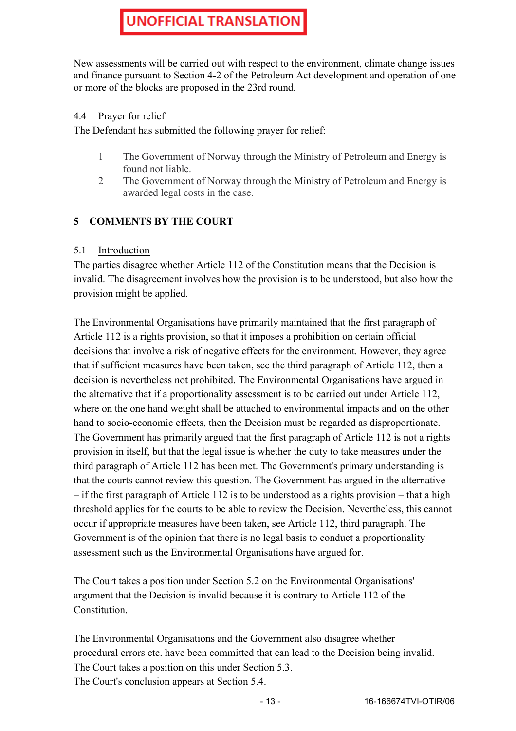New assessments will be carried out with respect to the environment, climate change issues and finance pursuant to Section 4-2 of the Petroleum Act development and operation of one or more of the blocks are proposed in the 23rd round.

#### 4.4 Prayer for relief

The Defendant has submitted the following prayer for relief:

- 1 The Government of Norway through the Ministry of Petroleum and Energy is found not liable.
- 2 The Government of Norway through the Ministry of Petroleum and Energy is awarded legal costs in the case.

### **5 COMMENTS BY THE COURT**

#### 5.1 Introduction

The parties disagree whether Article 112 of the Constitution means that the Decision is invalid. The disagreement involves how the provision is to be understood, but also how the provision might be applied.

The Environmental Organisations have primarily maintained that the first paragraph of Article 112 is a rights provision, so that it imposes a prohibition on certain official decisions that involve a risk of negative effects for the environment. However, they agree that if sufficient measures have been taken, see the third paragraph of Article 112, then a decision is nevertheless not prohibited. The Environmental Organisations have argued in the alternative that if a proportionality assessment is to be carried out under Article 112, where on the one hand weight shall be attached to environmental impacts and on the other hand to socio-economic effects, then the Decision must be regarded as disproportionate. The Government has primarily argued that the first paragraph of Article 112 is not a rights provision in itself, but that the legal issue is whether the duty to take measures under the third paragraph of Article 112 has been met. The Government's primary understanding is that the courts cannot review this question. The Government has argued in the alternative – if the first paragraph of Article 112 is to be understood as a rights provision – that a high threshold applies for the courts to be able to review the Decision. Nevertheless, this cannot occur if appropriate measures have been taken, see Article 112, third paragraph. The Government is of the opinion that there is no legal basis to conduct a proportionality assessment such as the Environmental Organisations have argued for.

The Court takes a position under Section 5.2 on the Environmental Organisations' argument that the Decision is invalid because it is contrary to Article 112 of the Constitution.

The Environmental Organisations and the Government also disagree whether procedural errors etc. have been committed that can lead to the Decision being invalid. The Court takes a position on this under Section 5.3. The Court's conclusion appears at Section 5.4.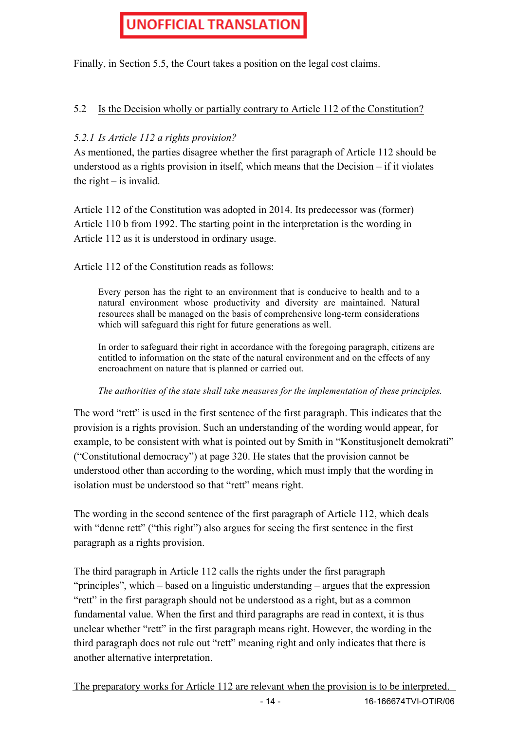Finally, in Section 5.5, the Court takes a position on the legal cost claims.

#### 5.2 Is the Decision wholly or partially contrary to Article 112 of the Constitution?

#### *5.2.1 Is Article 112 a rights provision?*

As mentioned, the parties disagree whether the first paragraph of Article 112 should be understood as a rights provision in itself, which means that the Decision – if it violates the right – is invalid.

Article 112 of the Constitution was adopted in 2014. Its predecessor was (former) Article 110 b from 1992. The starting point in the interpretation is the wording in Article 112 as it is understood in ordinary usage.

Article 112 of the Constitution reads as follows:

Every person has the right to an environment that is conducive to health and to a natural environment whose productivity and diversity are maintained. Natural resources shall be managed on the basis of comprehensive long-term considerations which will safeguard this right for future generations as well.

In order to safeguard their right in accordance with the foregoing paragraph, citizens are entitled to information on the state of the natural environment and on the effects of any encroachment on nature that is planned or carried out.

#### *The authorities of the state shall take measures for the implementation of these principles.*

The word "rett" is used in the first sentence of the first paragraph. This indicates that the provision is a rights provision. Such an understanding of the wording would appear, for example, to be consistent with what is pointed out by Smith in "Konstitusjonelt demokrati" ("Constitutional democracy") at page 320. He states that the provision cannot be understood other than according to the wording, which must imply that the wording in isolation must be understood so that "rett" means right.

The wording in the second sentence of the first paragraph of Article 112, which deals with "denne rett" ("this right") also argues for seeing the first sentence in the first paragraph as a rights provision.

The third paragraph in Article 112 calls the rights under the first paragraph "principles", which – based on a linguistic understanding – argues that the expression "rett" in the first paragraph should not be understood as a right, but as a common fundamental value. When the first and third paragraphs are read in context, it is thus unclear whether "rett" in the first paragraph means right. However, the wording in the third paragraph does not rule out "rett" meaning right and only indicates that there is another alternative interpretation.

The preparatory works for Article 112 are relevant when the provision is to be interpreted.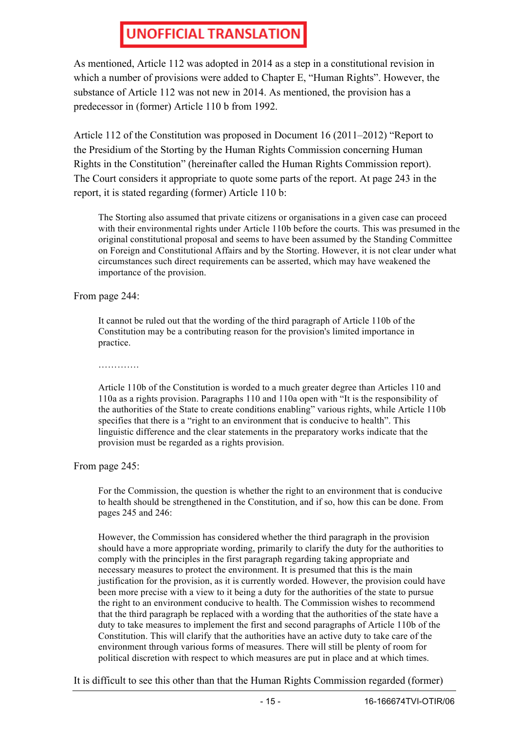As mentioned, Article 112 was adopted in 2014 as a step in a constitutional revision in which a number of provisions were added to Chapter E, "Human Rights". However, the substance of Article 112 was not new in 2014. As mentioned, the provision has a predecessor in (former) Article 110 b from 1992.

Article 112 of the Constitution was proposed in Document 16 (2011–2012) "Report to the Presidium of the Storting by the Human Rights Commission concerning Human Rights in the Constitution" (hereinafter called the Human Rights Commission report). The Court considers it appropriate to quote some parts of the report. At page 243 in the report, it is stated regarding (former) Article 110 b:

The Storting also assumed that private citizens or organisations in a given case can proceed with their environmental rights under Article 110b before the courts. This was presumed in the original constitutional proposal and seems to have been assumed by the Standing Committee on Foreign and Constitutional Affairs and by the Storting. However, it is not clear under what circumstances such direct requirements can be asserted, which may have weakened the importance of the provision.

From page 244:

It cannot be ruled out that the wording of the third paragraph of Article 110b of the Constitution may be a contributing reason for the provision's limited importance in practice.

………………

Article 110b of the Constitution is worded to a much greater degree than Articles 110 and 110a as a rights provision. Paragraphs 110 and 110a open with "It is the responsibility of the authorities of the State to create conditions enabling" various rights, while Article 110b specifies that there is a "right to an environment that is conducive to health". This linguistic difference and the clear statements in the preparatory works indicate that the provision must be regarded as a rights provision.

From page 245:

For the Commission, the question is whether the right to an environment that is conducive to health should be strengthened in the Constitution, and if so, how this can be done. From pages 245 and 246:

However, the Commission has considered whether the third paragraph in the provision should have a more appropriate wording, primarily to clarify the duty for the authorities to comply with the principles in the first paragraph regarding taking appropriate and necessary measures to protect the environment. It is presumed that this is the main justification for the provision, as it is currently worded. However, the provision could have been more precise with a view to it being a duty for the authorities of the state to pursue the right to an environment conducive to health. The Commission wishes to recommend that the third paragraph be replaced with a wording that the authorities of the state have a duty to take measures to implement the first and second paragraphs of Article 110b of the Constitution. This will clarify that the authorities have an active duty to take care of the environment through various forms of measures. There will still be plenty of room for political discretion with respect to which measures are put in place and at which times.

It is difficult to see this other than that the Human Rights Commission regarded (former)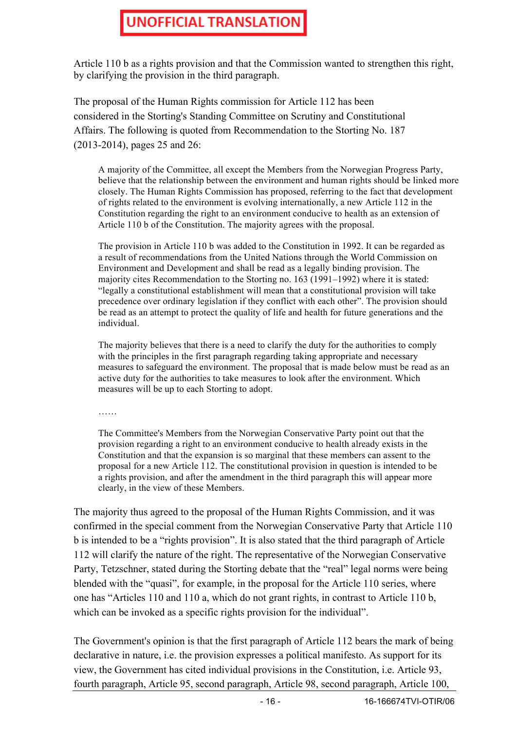Article 110 b as a rights provision and that the Commission wanted to strengthen this right, by clarifying the provision in the third paragraph.

The proposal of the Human Rights commission for Article 112 has been considered in the Storting's Standing Committee on Scrutiny and Constitutional Affairs. The following is quoted from Recommendation to the Storting No. 187 (2013-2014), pages 25 and 26:

A majority of the Committee, all except the Members from the Norwegian Progress Party, believe that the relationship between the environment and human rights should be linked more closely. The Human Rights Commission has proposed, referring to the fact that development of rights related to the environment is evolving internationally, a new Article 112 in the Constitution regarding the right to an environment conducive to health as an extension of Article 110 b of the Constitution. The majority agrees with the proposal.

The provision in Article 110 b was added to the Constitution in 1992. It can be regarded as a result of recommendations from the United Nations through the World Commission on Environment and Development and shall be read as a legally binding provision. The majority cites Recommendation to the Storting no. 163 (1991–1992) where it is stated: "legally a constitutional establishment will mean that a constitutional provision will take precedence over ordinary legislation if they conflict with each other". The provision should be read as an attempt to protect the quality of life and health for future generations and the individual.

The majority believes that there is a need to clarify the duty for the authorities to comply with the principles in the first paragraph regarding taking appropriate and necessary measures to safeguard the environment. The proposal that is made below must be read as an active duty for the authorities to take measures to look after the environment. Which measures will be up to each Storting to adopt.

……

The Committee's Members from the Norwegian Conservative Party point out that the provision regarding a right to an environment conducive to health already exists in the Constitution and that the expansion is so marginal that these members can assent to the proposal for a new Article 112. The constitutional provision in question is intended to be a rights provision, and after the amendment in the third paragraph this will appear more clearly, in the view of these Members.

The majority thus agreed to the proposal of the Human Rights Commission, and it was confirmed in the special comment from the Norwegian Conservative Party that Article 110 b is intended to be a "rights provision". It is also stated that the third paragraph of Article 112 will clarify the nature of the right. The representative of the Norwegian Conservative Party, Tetzschner, stated during the Storting debate that the "real" legal norms were being blended with the "quasi", for example, in the proposal for the Article 110 series, where one has "Articles 110 and 110 a, which do not grant rights, in contrast to Article 110 b, which can be invoked as a specific rights provision for the individual".

The Government's opinion is that the first paragraph of Article 112 bears the mark of being declarative in nature, i.e. the provision expresses a political manifesto. As support for its view, the Government has cited individual provisions in the Constitution, i.e. Article 93, fourth paragraph, Article 95, second paragraph, Article 98, second paragraph, Article 100,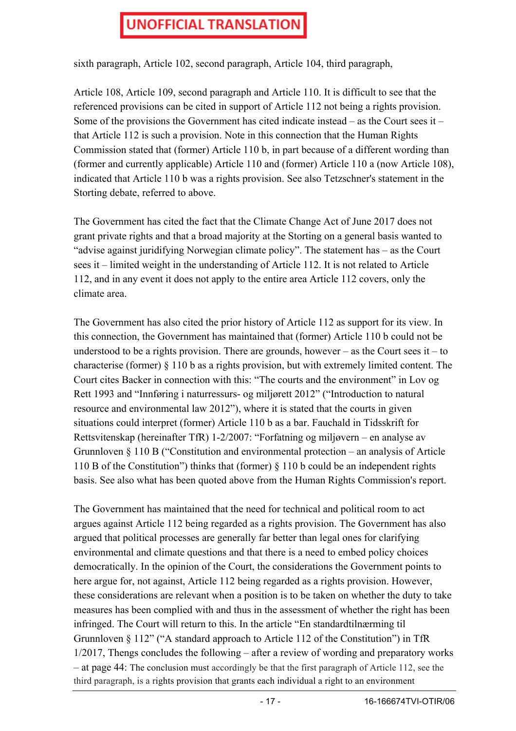sixth paragraph, Article 102, second paragraph, Article 104, third paragraph,

Article 108, Article 109, second paragraph and Article 110. It is difficult to see that the referenced provisions can be cited in support of Article 112 not being a rights provision. Some of the provisions the Government has cited indicate instead – as the Court sees it – that Article 112 is such a provision. Note in this connection that the Human Rights Commission stated that (former) Article 110 b, in part because of a different wording than (former and currently applicable) Article 110 and (former) Article 110 a (now Article 108), indicated that Article 110 b was a rights provision. See also Tetzschner's statement in the Storting debate, referred to above.

The Government has cited the fact that the Climate Change Act of June 2017 does not grant private rights and that a broad majority at the Storting on a general basis wanted to "advise against juridifying Norwegian climate policy". The statement has – as the Court sees it – limited weight in the understanding of Article 112. It is not related to Article 112, and in any event it does not apply to the entire area Article 112 covers, only the climate area.

The Government has also cited the prior history of Article 112 as support for its view. In this connection, the Government has maintained that (former) Article 110 b could not be understood to be a rights provision. There are grounds, however  $-$  as the Court sees it  $-$  to characterise (former) § 110 b as a rights provision, but with extremely limited content. The Court cites Backer in connection with this: "The courts and the environment" in Lov og Rett 1993 and "Innføring i naturressurs- og miljørett 2012" ("Introduction to natural resource and environmental law 2012"), where it is stated that the courts in given situations could interpret (former) Article 110 b as a bar. Fauchald in Tidsskrift for Rettsvitenskap (hereinafter TfR) 1-2/2007: "Forfatning og miljøvern – en analyse av Grunnloven § 110 B ("Constitution and environmental protection – an analysis of Article 110 B of the Constitution") thinks that (former) § 110 b could be an independent rights basis. See also what has been quoted above from the Human Rights Commission's report.

The Government has maintained that the need for technical and political room to act argues against Article 112 being regarded as a rights provision. The Government has also argued that political processes are generally far better than legal ones for clarifying environmental and climate questions and that there is a need to embed policy choices democratically. In the opinion of the Court, the considerations the Government points to here argue for, not against, Article 112 being regarded as a rights provision. However, these considerations are relevant when a position is to be taken on whether the duty to take measures has been complied with and thus in the assessment of whether the right has been infringed. The Court will return to this. In the article "En standardtilnærming til Grunnloven § 112" ("A standard approach to Article 112 of the Constitution") in TfR 1/2017, Thengs concludes the following – after a review of wording and preparatory works – at page 44: The conclusion must accordingly be that the first paragraph of Article 112, see the third paragraph, is a rights provision that grants each individual a right to an environment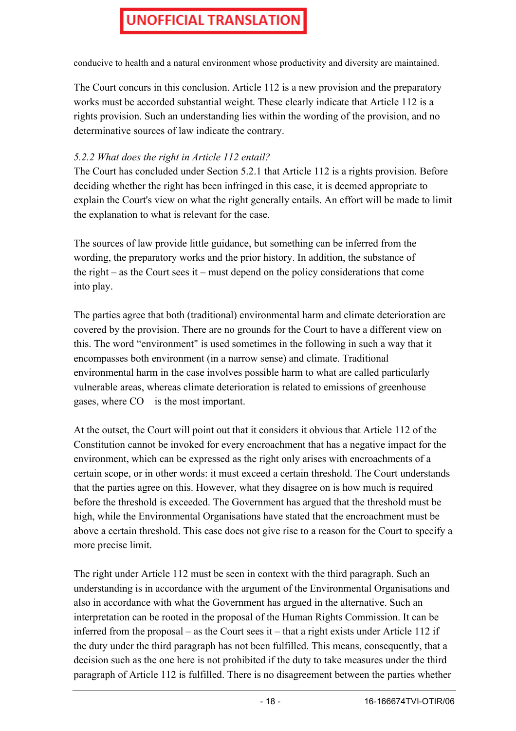conducive to health and a natural environment whose productivity and diversity are maintained.

The Court concurs in this conclusion. Article 112 is a new provision and the preparatory works must be accorded substantial weight. These clearly indicate that Article 112 is a rights provision. Such an understanding lies within the wording of the provision, and no determinative sources of law indicate the contrary.

#### *5.2.2 What does the right in Article 112 entail?*

The Court has concluded under Section 5.2.1 that Article 112 is a rights provision. Before deciding whether the right has been infringed in this case, it is deemed appropriate to explain the Court's view on what the right generally entails. An effort will be made to limit the explanation to what is relevant for the case.

The sources of law provide little guidance, but something can be inferred from the wording, the preparatory works and the prior history. In addition, the substance of the right – as the Court sees it – must depend on the policy considerations that come into play.

The parties agree that both (traditional) environmental harm and climate deterioration are covered by the provision. There are no grounds for the Court to have a different view on this. The word "environment" is used sometimes in the following in such a way that it encompasses both environment (in a narrow sense) and climate. Traditional environmental harm in the case involves possible harm to what are called particularly vulnerable areas, whereas climate deterioration is related to emissions of greenhouse gases, where CO is the most important.

At the outset, the Court will point out that it considers it obvious that Article 112 of the Constitution cannot be invoked for every encroachment that has a negative impact for the environment, which can be expressed as the right only arises with encroachments of a certain scope, or in other words: it must exceed a certain threshold. The Court understands that the parties agree on this. However, what they disagree on is how much is required before the threshold is exceeded. The Government has argued that the threshold must be high, while the Environmental Organisations have stated that the encroachment must be above a certain threshold. This case does not give rise to a reason for the Court to specify a more precise limit.

The right under Article 112 must be seen in context with the third paragraph. Such an understanding is in accordance with the argument of the Environmental Organisations and also in accordance with what the Government has argued in the alternative. Such an interpretation can be rooted in the proposal of the Human Rights Commission. It can be inferred from the proposal – as the Court sees it – that a right exists under Article 112 if the duty under the third paragraph has not been fulfilled. This means, consequently, that a decision such as the one here is not prohibited if the duty to take measures under the third paragraph of Article 112 is fulfilled. There is no disagreement between the parties whether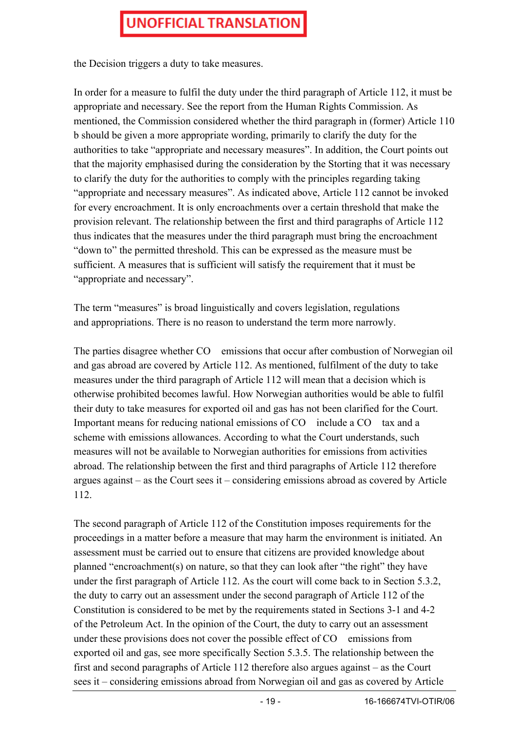the Decision triggers a duty to take measures.

In order for a measure to fulfil the duty under the third paragraph of Article 112, it must be appropriate and necessary. See the report from the Human Rights Commission. As mentioned, the Commission considered whether the third paragraph in (former) Article 110 b should be given a more appropriate wording, primarily to clarify the duty for the authorities to take "appropriate and necessary measures". In addition, the Court points out that the majority emphasised during the consideration by the Storting that it was necessary to clarify the duty for the authorities to comply with the principles regarding taking "appropriate and necessary measures". As indicated above, Article 112 cannot be invoked for every encroachment. It is only encroachments over a certain threshold that make the provision relevant. The relationship between the first and third paragraphs of Article 112 thus indicates that the measures under the third paragraph must bring the encroachment "down to" the permitted threshold. This can be expressed as the measure must be sufficient. A measures that is sufficient will satisfy the requirement that it must be "appropriate and necessary".

The term "measures" is broad linguistically and covers legislation, regulations and appropriations. There is no reason to understand the term more narrowly.

The parties disagree whether CO emissions that occur after combustion of Norwegian oil and gas abroad are covered by Article 112. As mentioned, fulfilment of the duty to take measures under the third paragraph of Article 112 will mean that a decision which is otherwise prohibited becomes lawful. How Norwegian authorities would be able to fulfil their duty to take measures for exported oil and gas has not been clarified for the Court. Important means for reducing national emissions of CO include a CO tax and a scheme with emissions allowances. According to what the Court understands, such measures will not be available to Norwegian authorities for emissions from activities abroad. The relationship between the first and third paragraphs of Article 112 therefore argues against – as the Court sees it – considering emissions abroad as covered by Article 112.

The second paragraph of Article 112 of the Constitution imposes requirements for the proceedings in a matter before a measure that may harm the environment is initiated. An assessment must be carried out to ensure that citizens are provided knowledge about planned "encroachment(s) on nature, so that they can look after "the right" they have under the first paragraph of Article 112. As the court will come back to in Section 5.3.2, the duty to carry out an assessment under the second paragraph of Article 112 of the Constitution is considered to be met by the requirements stated in Sections 3-1 and 4-2 of the Petroleum Act. In the opinion of the Court, the duty to carry out an assessment under these provisions does not cover the possible effect of CO emissions from exported oil and gas, see more specifically Section 5.3.5. The relationship between the first and second paragraphs of Article 112 therefore also argues against – as the Court sees it – considering emissions abroad from Norwegian oil and gas as covered by Article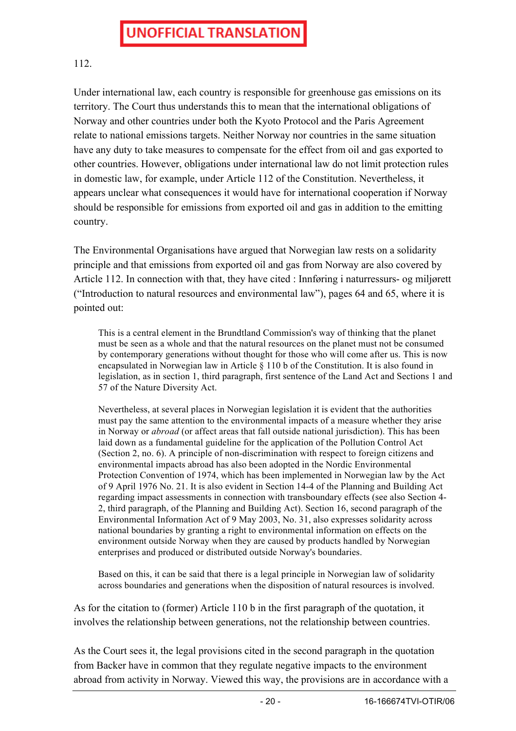#### 112.

Under international law, each country is responsible for greenhouse gas emissions on its territory. The Court thus understands this to mean that the international obligations of Norway and other countries under both the Kyoto Protocol and the Paris Agreement relate to national emissions targets. Neither Norway nor countries in the same situation have any duty to take measures to compensate for the effect from oil and gas exported to other countries. However, obligations under international law do not limit protection rules in domestic law, for example, under Article 112 of the Constitution. Nevertheless, it appears unclear what consequences it would have for international cooperation if Norway should be responsible for emissions from exported oil and gas in addition to the emitting country.

The Environmental Organisations have argued that Norwegian law rests on a solidarity principle and that emissions from exported oil and gas from Norway are also covered by Article 112. In connection with that, they have cited : Innføring i naturressurs- og miljørett ("Introduction to natural resources and environmental law"), pages 64 and 65, where it is pointed out:

This is a central element in the Brundtland Commission's way of thinking that the planet must be seen as a whole and that the natural resources on the planet must not be consumed by contemporary generations without thought for those who will come after us. This is now encapsulated in Norwegian law in Article § 110 b of the Constitution. It is also found in legislation, as in section 1, third paragraph, first sentence of the Land Act and Sections 1 and 57 of the Nature Diversity Act.

Nevertheless, at several places in Norwegian legislation it is evident that the authorities must pay the same attention to the environmental impacts of a measure whether they arise in Norway or *abroad* (or affect areas that fall outside national jurisdiction). This has been laid down as a fundamental guideline for the application of the Pollution Control Act (Section 2, no. 6). A principle of non-discrimination with respect to foreign citizens and environmental impacts abroad has also been adopted in the Nordic Environmental Protection Convention of 1974, which has been implemented in Norwegian law by the Act of 9 April 1976 No. 21. It is also evident in Section 14-4 of the Planning and Building Act regarding impact assessments in connection with transboundary effects (see also Section 4- 2, third paragraph, of the Planning and Building Act). Section 16, second paragraph of the Environmental Information Act of 9 May 2003, No. 31, also expresses solidarity across national boundaries by granting a right to environmental information on effects on the environment outside Norway when they are caused by products handled by Norwegian enterprises and produced or distributed outside Norway's boundaries.

Based on this, it can be said that there is a legal principle in Norwegian law of solidarity across boundaries and generations when the disposition of natural resources is involved.

As for the citation to (former) Article 110 b in the first paragraph of the quotation, it involves the relationship between generations, not the relationship between countries.

As the Court sees it, the legal provisions cited in the second paragraph in the quotation from Backer have in common that they regulate negative impacts to the environment abroad from activity in Norway. Viewed this way, the provisions are in accordance with a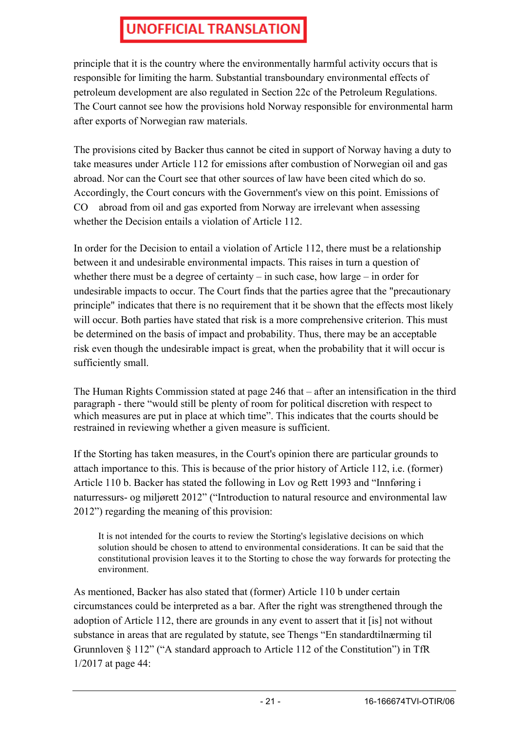principle that it is the country where the environmentally harmful activity occurs that is responsible for limiting the harm. Substantial transboundary environmental effects of petroleum development are also regulated in Section 22c of the Petroleum Regulations. The Court cannot see how the provisions hold Norway responsible for environmental harm after exports of Norwegian raw materials.

The provisions cited by Backer thus cannot be cited in support of Norway having a duty to take measures under Article 112 for emissions after combustion of Norwegian oil and gas abroad. Nor can the Court see that other sources of law have been cited which do so. Accordingly, the Court concurs with the Government's view on this point. Emissions of CO abroad from oil and gas exported from Norway are irrelevant when assessing whether the Decision entails a violation of Article 112.

In order for the Decision to entail a violation of Article 112, there must be a relationship between it and undesirable environmental impacts. This raises in turn a question of whether there must be a degree of certainty – in such case, how large – in order for undesirable impacts to occur. The Court finds that the parties agree that the "precautionary principle" indicates that there is no requirement that it be shown that the effects most likely will occur. Both parties have stated that risk is a more comprehensive criterion. This must be determined on the basis of impact and probability. Thus, there may be an acceptable risk even though the undesirable impact is great, when the probability that it will occur is sufficiently small.

The Human Rights Commission stated at page 246 that – after an intensification in the third paragraph - there "would still be plenty of room for political discretion with respect to which measures are put in place at which time". This indicates that the courts should be restrained in reviewing whether a given measure is sufficient.

If the Storting has taken measures, in the Court's opinion there are particular grounds to attach importance to this. This is because of the prior history of Article 112, i.e. (former) Article 110 b. Backer has stated the following in Lov og Rett 1993 and "Innføring i naturressurs- og miljørett 2012" ("Introduction to natural resource and environmental law 2012") regarding the meaning of this provision:

It is not intended for the courts to review the Storting's legislative decisions on which solution should be chosen to attend to environmental considerations. It can be said that the constitutional provision leaves it to the Storting to chose the way forwards for protecting the environment.

As mentioned, Backer has also stated that (former) Article 110 b under certain circumstances could be interpreted as a bar. After the right was strengthened through the adoption of Article 112, there are grounds in any event to assert that it [is] not without substance in areas that are regulated by statute, see Thengs "En standardtilnærming til Grunnloven § 112" ("A standard approach to Article 112 of the Constitution") in TfR 1/2017 at page 44: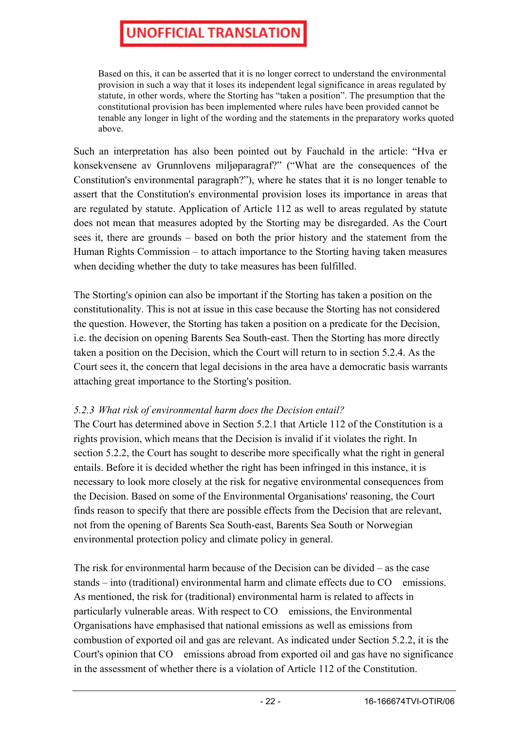Based on this, it can be asserted that it is no longer correct to understand the environmental provision in such a way that it loses its independent legal significance in areas regulated by statute, in other words, where the Storting has "taken a position". The presumption that the constitutional provision has been implemented where rules have been provided cannot be tenable any longer in light of the wording and the statements in the preparatory works quoted above.

Such an interpretation has also been pointed out by Fauchald in the article: "Hva er konsekvensene av Grunnlovens miljøparagraf?" ("What are the consequences of the Constitution's environmental paragraph?"), where he states that it is no longer tenable to assert that the Constitution's environmental provision loses its importance in areas that are regulated by statute. Application of Article 112 as well to areas regulated by statute does not mean that measures adopted by the Storting may be disregarded. As the Court sees it, there are grounds – based on both the prior history and the statement from the Human Rights Commission – to attach importance to the Storting having taken measures when deciding whether the duty to take measures has been fulfilled.

The Storting's opinion can also be important if the Storting has taken a position on the constitutionality. This is not at issue in this case because the Storting has not considered the question. However, the Storting has taken a position on a predicate for the Decision, i.e. the decision on opening Barents Sea South-east. Then the Storting has more directly taken a position on the Decision, which the Court will return to in section 5.2.4. As the Court sees it, the concern that legal decisions in the area have a democratic basis warrants attaching great importance to the Storting's position.

#### *5.2.3 What risk of environmental harm does the Decision entail?*

The Court has determined above in Section 5.2.1 that Article 112 of the Constitution is a rights provision, which means that the Decision is invalid if it violates the right. In section 5.2.2, the Court has sought to describe more specifically what the right in general entails. Before it is decided whether the right has been infringed in this instance, it is necessary to look more closely at the risk for negative environmental consequences from the Decision. Based on some of the Environmental Organisations' reasoning, the Court finds reason to specify that there are possible effects from the Decision that are relevant, not from the opening of Barents Sea South-east, Barents Sea South or Norwegian environmental protection policy and climate policy in general.

The risk for environmental harm because of the Decision can be divided – as the case stands – into (traditional) environmental harm and climate effects due to CO emissions. As mentioned, the risk for (traditional) environmental harm is related to affects in particularly vulnerable areas. With respect to CO emissions, the Environmental Organisations have emphasised that national emissions as well as emissions from combustion of exported oil and gas are relevant. As indicated under Section 5.2.2, it is the Court's opinion that CO emissions abroad from exported oil and gas have no significance in the assessment of whether there is a violation of Article 112 of the Constitution.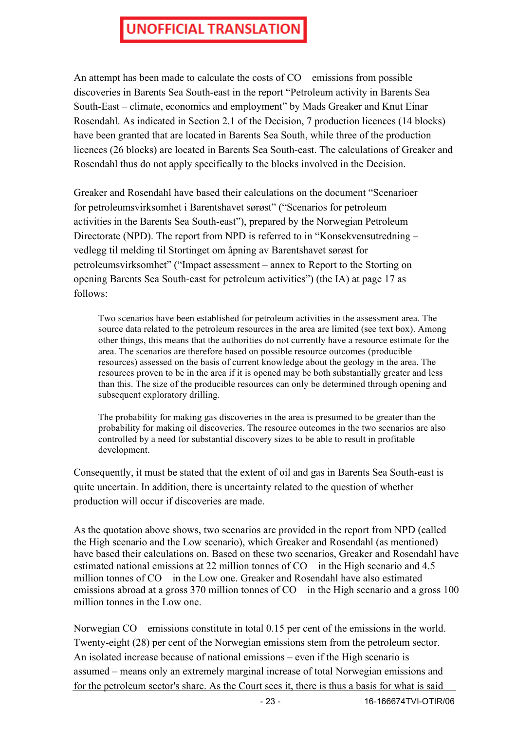An attempt has been made to calculate the costs of CO emissions from possible discoveries in Barents Sea South-east in the report "Petroleum activity in Barents Sea South-East – climate, economics and employment" by Mads Greaker and Knut Einar Rosendahl. As indicated in Section 2.1 of the Decision, 7 production licences (14 blocks) have been granted that are located in Barents Sea South, while three of the production licences (26 blocks) are located in Barents Sea South-east. The calculations of Greaker and Rosendahl thus do not apply specifically to the blocks involved in the Decision.

Greaker and Rosendahl have based their calculations on the document "Scenarioer for petroleumsvirksomhet i Barentshavet sørøst" ("Scenarios for petroleum activities in the Barents Sea South-east"), prepared by the Norwegian Petroleum Directorate (NPD). The report from NPD is referred to in "Konsekvensutredning – vedlegg til melding til Stortinget om åpning av Barentshavet sørøst for petroleumsvirksomhet" ("Impact assessment – annex to Report to the Storting on opening Barents Sea South-east for petroleum activities") (the IA) at page 17 as follows:

Two scenarios have been established for petroleum activities in the assessment area. The source data related to the petroleum resources in the area are limited (see text box). Among other things, this means that the authorities do not currently have a resource estimate for the area. The scenarios are therefore based on possible resource outcomes (producible resources) assessed on the basis of current knowledge about the geology in the area. The resources proven to be in the area if it is opened may be both substantially greater and less than this. The size of the producible resources can only be determined through opening and subsequent exploratory drilling.

The probability for making gas discoveries in the area is presumed to be greater than the probability for making oil discoveries. The resource outcomes in the two scenarios are also controlled by a need for substantial discovery sizes to be able to result in profitable development.

Consequently, it must be stated that the extent of oil and gas in Barents Sea South-east is quite uncertain. In addition, there is uncertainty related to the question of whether production will occur if discoveries are made.

As the quotation above shows, two scenarios are provided in the report from NPD (called the High scenario and the Low scenario), which Greaker and Rosendahl (as mentioned) have based their calculations on. Based on these two scenarios, Greaker and Rosendahl have estimated national emissions at 22 million tonnes of CO in the High scenario and 4.5 million tonnes of CO in the Low one. Greaker and Rosendahl have also estimated emissions abroad at a gross 370 million tonnes of CO in the High scenario and a gross 100 million tonnes in the Low one.

Norwegian CO emissions constitute in total 0.15 per cent of the emissions in the world. Twenty-eight (28) per cent of the Norwegian emissions stem from the petroleum sector. An isolated increase because of national emissions – even if the High scenario is assumed – means only an extremely marginal increase of total Norwegian emissions and for the petroleum sector's share. As the Court sees it, there is thus a basis for what is said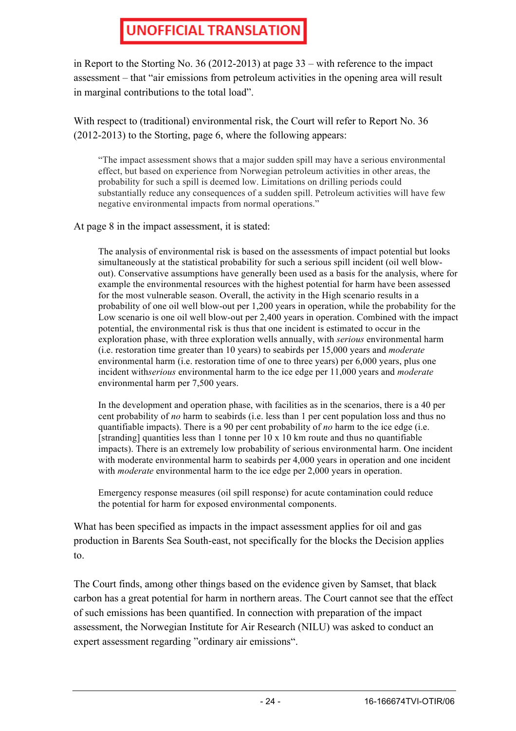in Report to the Storting No. 36 (2012-2013) at page 33 – with reference to the impact assessment – that "air emissions from petroleum activities in the opening area will result in marginal contributions to the total load".

With respect to (traditional) environmental risk, the Court will refer to Report No. 36 (2012-2013) to the Storting, page 6, where the following appears:

"The impact assessment shows that a major sudden spill may have a serious environmental effect, but based on experience from Norwegian petroleum activities in other areas, the probability for such a spill is deemed low. Limitations on drilling periods could substantially reduce any consequences of a sudden spill. Petroleum activities will have few negative environmental impacts from normal operations."

At page 8 in the impact assessment, it is stated:

The analysis of environmental risk is based on the assessments of impact potential but looks simultaneously at the statistical probability for such a serious spill incident (oil well blowout). Conservative assumptions have generally been used as a basis for the analysis, where for example the environmental resources with the highest potential for harm have been assessed for the most vulnerable season. Overall, the activity in the High scenario results in a probability of one oil well blow-out per 1,200 years in operation, while the probability for the Low scenario is one oil well blow-out per 2,400 years in operation. Combined with the impact potential, the environmental risk is thus that one incident is estimated to occur in the exploration phase, with three exploration wells annually, with *serious* environmental harm (i.e. restoration time greater than 10 years) to seabirds per 15,000 years and *moderate*  environmental harm (i.e. restoration time of one to three years) per 6,000 years, plus one incident with*serious* environmental harm to the ice edge per 11,000 years and *moderate*  environmental harm per 7,500 years.

In the development and operation phase, with facilities as in the scenarios, there is a 40 per cent probability of *no* harm to seabirds (i.e. less than 1 per cent population loss and thus no quantifiable impacts). There is a 90 per cent probability of *no* harm to the ice edge (i.e. [stranding] quantities less than 1 tonne per  $10 \times 10$  km route and thus no quantifiable impacts). There is an extremely low probability of serious environmental harm. One incident with moderate environmental harm to seabirds per 4,000 years in operation and one incident with *moderate* environmental harm to the ice edge per 2,000 years in operation.

Emergency response measures (oil spill response) for acute contamination could reduce the potential for harm for exposed environmental components.

What has been specified as impacts in the impact assessment applies for oil and gas production in Barents Sea South-east, not specifically for the blocks the Decision applies to.

The Court finds, among other things based on the evidence given by Samset, that black carbon has a great potential for harm in northern areas. The Court cannot see that the effect of such emissions has been quantified. In connection with preparation of the impact assessment, the Norwegian Institute for Air Research (NILU) was asked to conduct an expert assessment regarding "ordinary air emissions".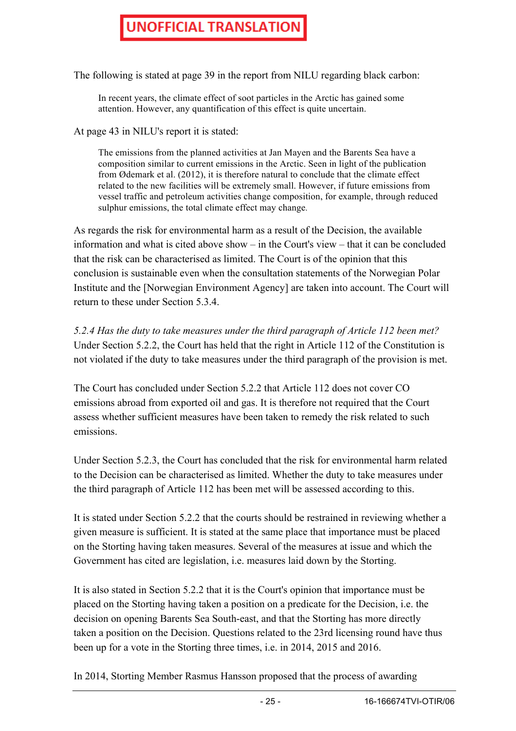The following is stated at page 39 in the report from NILU regarding black carbon:

In recent years, the climate effect of soot particles in the Arctic has gained some attention. However, any quantification of this effect is quite uncertain.

At page 43 in NILU's report it is stated:

The emissions from the planned activities at Jan Mayen and the Barents Sea have a composition similar to current emissions in the Arctic. Seen in light of the publication from Ødemark et al. (2012), it is therefore natural to conclude that the climate effect related to the new facilities will be extremely small. However, if future emissions from vessel traffic and petroleum activities change composition, for example, through reduced sulphur emissions, the total climate effect may change.

As regards the risk for environmental harm as a result of the Decision, the available information and what is cited above show – in the Court's view – that it can be concluded that the risk can be characterised as limited. The Court is of the opinion that this conclusion is sustainable even when the consultation statements of the Norwegian Polar Institute and the [Norwegian Environment Agency] are taken into account. The Court will return to these under Section 5.3.4.

*5.2.4 Has the duty to take measures under the third paragraph of Article 112 been met?* Under Section 5.2.2, the Court has held that the right in Article 112 of the Constitution is not violated if the duty to take measures under the third paragraph of the provision is met.

The Court has concluded under Section 5.2.2 that Article 112 does not cover CO emissions abroad from exported oil and gas. It is therefore not required that the Court assess whether sufficient measures have been taken to remedy the risk related to such emissions.

Under Section 5.2.3, the Court has concluded that the risk for environmental harm related to the Decision can be characterised as limited. Whether the duty to take measures under the third paragraph of Article 112 has been met will be assessed according to this.

It is stated under Section 5.2.2 that the courts should be restrained in reviewing whether a given measure is sufficient. It is stated at the same place that importance must be placed on the Storting having taken measures. Several of the measures at issue and which the Government has cited are legislation, i.e. measures laid down by the Storting.

It is also stated in Section 5.2.2 that it is the Court's opinion that importance must be placed on the Storting having taken a position on a predicate for the Decision, i.e. the decision on opening Barents Sea South-east, and that the Storting has more directly taken a position on the Decision. Questions related to the 23rd licensing round have thus been up for a vote in the Storting three times, i.e. in 2014, 2015 and 2016.

In 2014, Storting Member Rasmus Hansson proposed that the process of awarding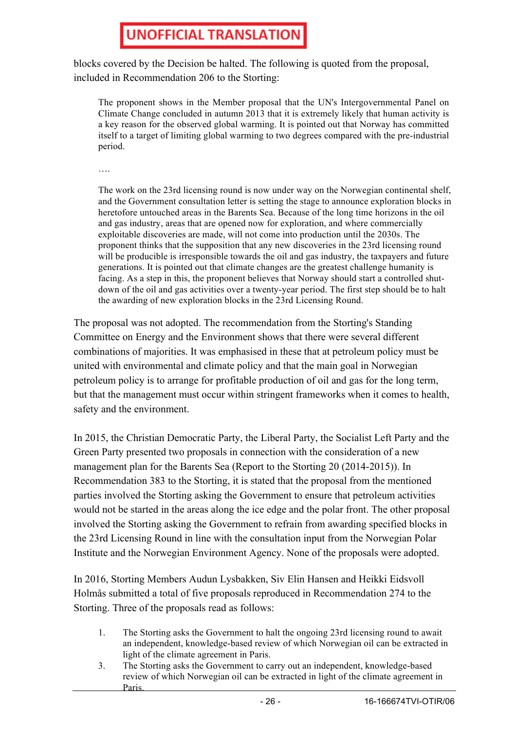blocks covered by the Decision be halted. The following is quoted from the proposal, included in Recommendation 206 to the Storting:

The proponent shows in the Member proposal that the UN's Intergovernmental Panel on Climate Change concluded in autumn 2013 that it is extremely likely that human activity is a key reason for the observed global warming. It is pointed out that Norway has committed itself to a target of limiting global warming to two degrees compared with the pre-industrial period.

….

The work on the 23rd licensing round is now under way on the Norwegian continental shelf, and the Government consultation letter is setting the stage to announce exploration blocks in heretofore untouched areas in the Barents Sea. Because of the long time horizons in the oil and gas industry, areas that are opened now for exploration, and where commercially exploitable discoveries are made, will not come into production until the 2030s. The proponent thinks that the supposition that any new discoveries in the 23rd licensing round will be producible is irresponsible towards the oil and gas industry, the taxpayers and future generations. It is pointed out that climate changes are the greatest challenge humanity is facing. As a step in this, the proponent believes that Norway should start a controlled shutdown of the oil and gas activities over a twenty-year period. The first step should be to halt the awarding of new exploration blocks in the 23rd Licensing Round.

The proposal was not adopted. The recommendation from the Storting's Standing Committee on Energy and the Environment shows that there were several different combinations of majorities. It was emphasised in these that at petroleum policy must be united with environmental and climate policy and that the main goal in Norwegian petroleum policy is to arrange for profitable production of oil and gas for the long term, but that the management must occur within stringent frameworks when it comes to health, safety and the environment.

In 2015, the Christian Democratic Party, the Liberal Party, the Socialist Left Party and the Green Party presented two proposals in connection with the consideration of a new management plan for the Barents Sea (Report to the Storting 20 (2014-2015)). In Recommendation 383 to the Storting, it is stated that the proposal from the mentioned parties involved the Storting asking the Government to ensure that petroleum activities would not be started in the areas along the ice edge and the polar front. The other proposal involved the Storting asking the Government to refrain from awarding specified blocks in the 23rd Licensing Round in line with the consultation input from the Norwegian Polar Institute and the Norwegian Environment Agency. None of the proposals were adopted.

In 2016, Storting Members Audun Lysbakken, Siv Elin Hansen and Heikki Eidsvoll Holmås submitted a total of five proposals reproduced in Recommendation 274 to the Storting. Three of the proposals read as follows:

- 1. The Storting asks the Government to halt the ongoing 23rd licensing round to await an independent, knowledge-based review of which Norwegian oil can be extracted in light of the climate agreement in Paris.
- 3. The Storting asks the Government to carry out an independent, knowledge-based review of which Norwegian oil can be extracted in light of the climate agreement in Paris.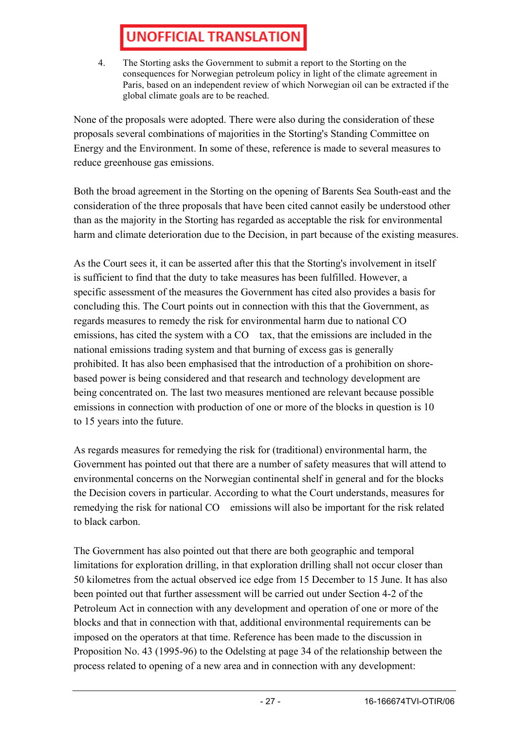4. The Storting asks the Government to submit a report to the Storting on the consequences for Norwegian petroleum policy in light of the climate agreement in Paris, based on an independent review of which Norwegian oil can be extracted if the global climate goals are to be reached.

None of the proposals were adopted. There were also during the consideration of these proposals several combinations of majorities in the Storting's Standing Committee on Energy and the Environment. In some of these, reference is made to several measures to reduce greenhouse gas emissions.

Both the broad agreement in the Storting on the opening of Barents Sea South-east and the consideration of the three proposals that have been cited cannot easily be understood other than as the majority in the Storting has regarded as acceptable the risk for environmental harm and climate deterioration due to the Decision, in part because of the existing measures.

As the Court sees it, it can be asserted after this that the Storting's involvement in itself is sufficient to find that the duty to take measures has been fulfilled. However, a specific assessment of the measures the Government has cited also provides a basis for concluding this. The Court points out in connection with this that the Government, as regards measures to remedy the risk for environmental harm due to national CO emissions, has cited the system with a CO tax, that the emissions are included in the national emissions trading system and that burning of excess gas is generally prohibited. It has also been emphasised that the introduction of a prohibition on shorebased power is being considered and that research and technology development are being concentrated on. The last two measures mentioned are relevant because possible emissions in connection with production of one or more of the blocks in question is 10 to 15 years into the future.

As regards measures for remedying the risk for (traditional) environmental harm, the Government has pointed out that there are a number of safety measures that will attend to environmental concerns on the Norwegian continental shelf in general and for the blocks the Decision covers in particular. According to what the Court understands, measures for remedying the risk for national CO emissions will also be important for the risk related to black carbon.

The Government has also pointed out that there are both geographic and temporal limitations for exploration drilling, in that exploration drilling shall not occur closer than 50 kilometres from the actual observed ice edge from 15 December to 15 June. It has also been pointed out that further assessment will be carried out under Section 4-2 of the Petroleum Act in connection with any development and operation of one or more of the blocks and that in connection with that, additional environmental requirements can be imposed on the operators at that time. Reference has been made to the discussion in Proposition No. 43 (1995-96) to the Odelsting at page 34 of the relationship between the process related to opening of a new area and in connection with any development: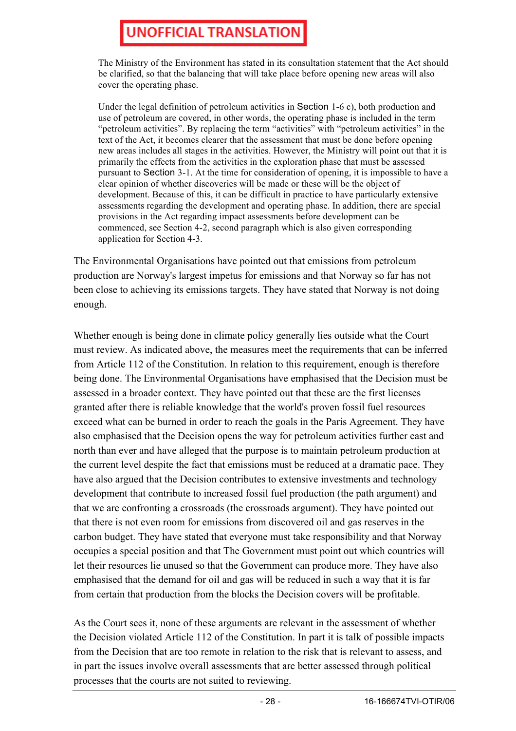The Ministry of the Environment has stated in its consultation statement that the Act should be clarified, so that the balancing that will take place before opening new areas will also cover the operating phase.

Under the legal definition of petroleum activities in Section 1-6 c), both production and use of petroleum are covered, in other words, the operating phase is included in the term "petroleum activities". By replacing the term "activities" with "petroleum activities" in the text of the Act, it becomes clearer that the assessment that must be done before opening new areas includes all stages in the activities. However, the Ministry will point out that it is primarily the effects from the activities in the exploration phase that must be assessed pursuant to Section 3-1. At the time for consideration of opening, it is impossible to have a clear opinion of whether discoveries will be made or these will be the object of development. Because of this, it can be difficult in practice to have particularly extensive assessments regarding the development and operating phase. In addition, there are special provisions in the Act regarding impact assessments before development can be commenced, see Section 4-2, second paragraph which is also given corresponding application for Section 4-3.

The Environmental Organisations have pointed out that emissions from petroleum production are Norway's largest impetus for emissions and that Norway so far has not been close to achieving its emissions targets. They have stated that Norway is not doing enough.

Whether enough is being done in climate policy generally lies outside what the Court must review. As indicated above, the measures meet the requirements that can be inferred from Article 112 of the Constitution. In relation to this requirement, enough is therefore being done. The Environmental Organisations have emphasised that the Decision must be assessed in a broader context. They have pointed out that these are the first licenses granted after there is reliable knowledge that the world's proven fossil fuel resources exceed what can be burned in order to reach the goals in the Paris Agreement. They have also emphasised that the Decision opens the way for petroleum activities further east and north than ever and have alleged that the purpose is to maintain petroleum production at the current level despite the fact that emissions must be reduced at a dramatic pace. They have also argued that the Decision contributes to extensive investments and technology development that contribute to increased fossil fuel production (the path argument) and that we are confronting a crossroads (the crossroads argument). They have pointed out that there is not even room for emissions from discovered oil and gas reserves in the carbon budget. They have stated that everyone must take responsibility and that Norway occupies a special position and that The Government must point out which countries will let their resources lie unused so that the Government can produce more. They have also emphasised that the demand for oil and gas will be reduced in such a way that it is far from certain that production from the blocks the Decision covers will be profitable.

As the Court sees it, none of these arguments are relevant in the assessment of whether the Decision violated Article 112 of the Constitution. In part it is talk of possible impacts from the Decision that are too remote in relation to the risk that is relevant to assess, and in part the issues involve overall assessments that are better assessed through political processes that the courts are not suited to reviewing.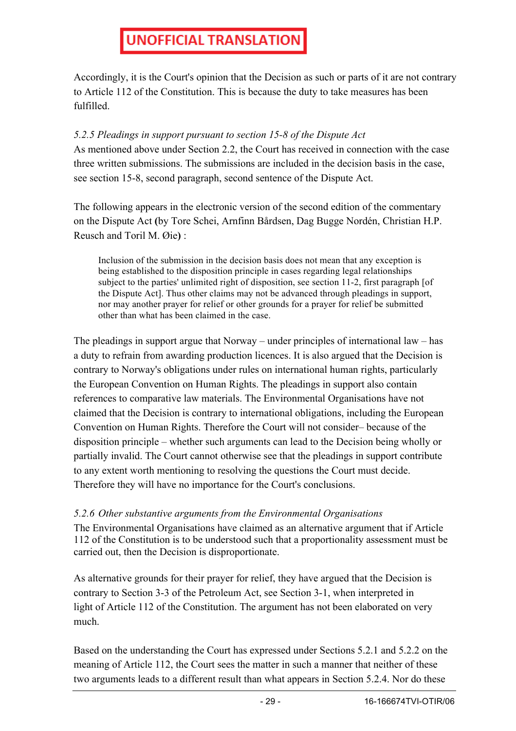Accordingly, it is the Court's opinion that the Decision as such or parts of it are not contrary to Article 112 of the Constitution. This is because the duty to take measures has been fulfilled.

#### *5.2.5 Pleadings in support pursuant to section 15-8 of the Dispute Act*

As mentioned above under Section 2.2, the Court has received in connection with the case three written submissions. The submissions are included in the decision basis in the case, see section 15-8, second paragraph, second sentence of the Dispute Act.

The following appears in the electronic version of the second edition of the commentary on the Dispute Act **(**by Tore Schei, Arnfinn Bårdsen, Dag Bugge Nordén, Christian H.P. Reusch and Toril M. Øie**)** :

Inclusion of the submission in the decision basis does not mean that any exception is being established to the disposition principle in cases regarding legal relationships subject to the parties' unlimited right of disposition, see section 11-2, first paragraph [of the Dispute Act]. Thus other claims may not be advanced through pleadings in support, nor may another prayer for relief or other grounds for a prayer for relief be submitted other than what has been claimed in the case.

The pleadings in support argue that Norway – under principles of international law – has a duty to refrain from awarding production licences. It is also argued that the Decision is contrary to Norway's obligations under rules on international human rights, particularly the European Convention on Human Rights. The pleadings in support also contain references to comparative law materials. The Environmental Organisations have not claimed that the Decision is contrary to international obligations, including the European Convention on Human Rights. Therefore the Court will not consider– because of the disposition principle – whether such arguments can lead to the Decision being wholly or partially invalid. The Court cannot otherwise see that the pleadings in support contribute to any extent worth mentioning to resolving the questions the Court must decide. Therefore they will have no importance for the Court's conclusions.

#### *5.2.6 Other substantive arguments from the Environmental Organisations*

The Environmental Organisations have claimed as an alternative argument that if Article 112 of the Constitution is to be understood such that a proportionality assessment must be carried out, then the Decision is disproportionate.

As alternative grounds for their prayer for relief, they have argued that the Decision is contrary to Section 3-3 of the Petroleum Act, see Section 3-1, when interpreted in light of Article 112 of the Constitution. The argument has not been elaborated on very much.

Based on the understanding the Court has expressed under Sections 5.2.1 and 5.2.2 on the meaning of Article 112, the Court sees the matter in such a manner that neither of these two arguments leads to a different result than what appears in Section 5.2.4. Nor do these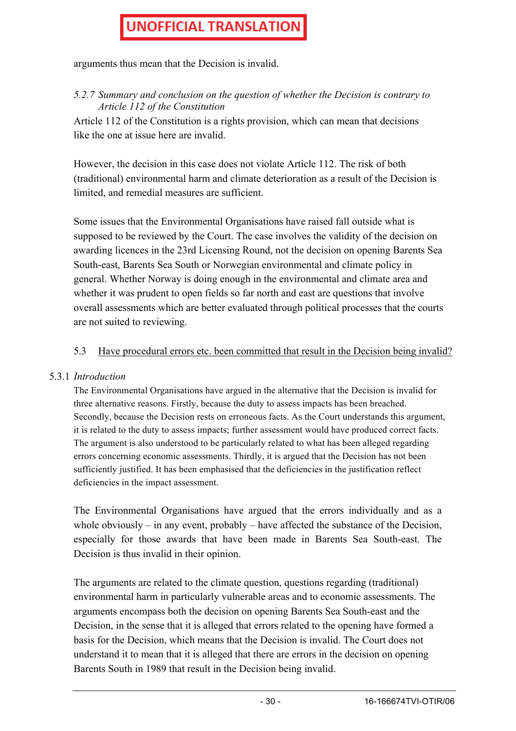arguments thus mean that the Decision is invalid.

*5.2.7 Summary and conclusion on the question of whether the Decision is contrary to Article 112 of the Constitution*

Article 112 of the Constitution is a rights provision, which can mean that decisions like the one at issue here are invalid.

However, the decision in this case does not violate Article 112. The risk of both (traditional) environmental harm and climate deterioration as a result of the Decision is limited, and remedial measures are sufficient.

Some issues that the Environmental Organisations have raised fall outside what is supposed to be reviewed by the Court. The case involves the validity of the decision on awarding licences in the 23rd Licensing Round, not the decision on opening Barents Sea South-east, Barents Sea South or Norwegian environmental and climate policy in general. Whether Norway is doing enough in the environmental and climate area and whether it was prudent to open fields so far north and east are questions that involve overall assessments which are better evaluated through political processes that the courts are not suited to reviewing.

#### 5.3 Have procedural errors etc. been committed that result in the Decision being invalid?

#### 5.3.1 *Introduction*

The Environmental Organisations have argued in the alternative that the Decision is invalid for three alternative reasons. Firstly, because the duty to assess impacts has been breached. Secondly, because the Decision rests on erroneous facts. As the Court understands this argument, it is related to the duty to assess impacts; further assessment would have produced correct facts. The argument is also understood to be particularly related to what has been alleged regarding errors concerning economic assessments. Thirdly, it is argued that the Decision has not been sufficiently justified. It has been emphasised that the deficiencies in the justification reflect deficiencies in the impact assessment.

The Environmental Organisations have argued that the errors individually and as a whole obviously – in any event, probably – have affected the substance of the Decision, especially for those awards that have been made in Barents Sea South-east. The Decision is thus invalid in their opinion.

The arguments are related to the climate question, questions regarding (traditional) environmental harm in particularly vulnerable areas and to economic assessments. The arguments encompass both the decision on opening Barents Sea South-east and the Decision, in the sense that it is alleged that errors related to the opening have formed a basis for the Decision, which means that the Decision is invalid. The Court does not understand it to mean that it is alleged that there are errors in the decision on opening Barents South in 1989 that result in the Decision being invalid.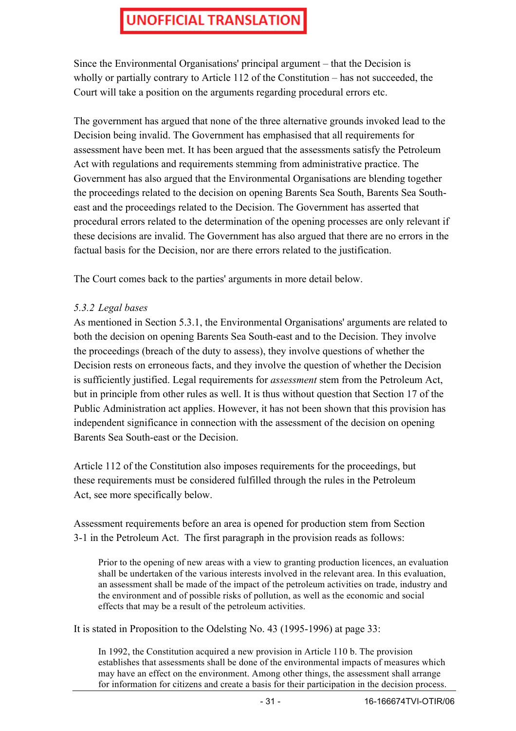Since the Environmental Organisations' principal argument – that the Decision is wholly or partially contrary to Article 112 of the Constitution – has not succeeded, the Court will take a position on the arguments regarding procedural errors etc.

The government has argued that none of the three alternative grounds invoked lead to the Decision being invalid. The Government has emphasised that all requirements for assessment have been met. It has been argued that the assessments satisfy the Petroleum Act with regulations and requirements stemming from administrative practice. The Government has also argued that the Environmental Organisations are blending together the proceedings related to the decision on opening Barents Sea South, Barents Sea Southeast and the proceedings related to the Decision. The Government has asserted that procedural errors related to the determination of the opening processes are only relevant if these decisions are invalid. The Government has also argued that there are no errors in the factual basis for the Decision, nor are there errors related to the justification.

The Court comes back to the parties' arguments in more detail below.

#### *5.3.2 Legal bases*

As mentioned in Section 5.3.1, the Environmental Organisations' arguments are related to both the decision on opening Barents Sea South-east and to the Decision. They involve the proceedings (breach of the duty to assess), they involve questions of whether the Decision rests on erroneous facts, and they involve the question of whether the Decision is sufficiently justified. Legal requirements for *assessment* stem from the Petroleum Act, but in principle from other rules as well. It is thus without question that Section 17 of the Public Administration act applies. However, it has not been shown that this provision has independent significance in connection with the assessment of the decision on opening Barents Sea South-east or the Decision.

Article 112 of the Constitution also imposes requirements for the proceedings, but these requirements must be considered fulfilled through the rules in the Petroleum Act, see more specifically below.

Assessment requirements before an area is opened for production stem from Section 3-1 in the Petroleum Act. The first paragraph in the provision reads as follows:

Prior to the opening of new areas with a view to granting production licences, an evaluation shall be undertaken of the various interests involved in the relevant area. In this evaluation, an assessment shall be made of the impact of the petroleum activities on trade, industry and the environment and of possible risks of pollution, as well as the economic and social effects that may be a result of the petroleum activities.

It is stated in Proposition to the Odelsting No. 43 (1995-1996) at page 33:

In 1992, the Constitution acquired a new provision in Article 110 b. The provision establishes that assessments shall be done of the environmental impacts of measures which may have an effect on the environment. Among other things, the assessment shall arrange for information for citizens and create a basis for their participation in the decision process.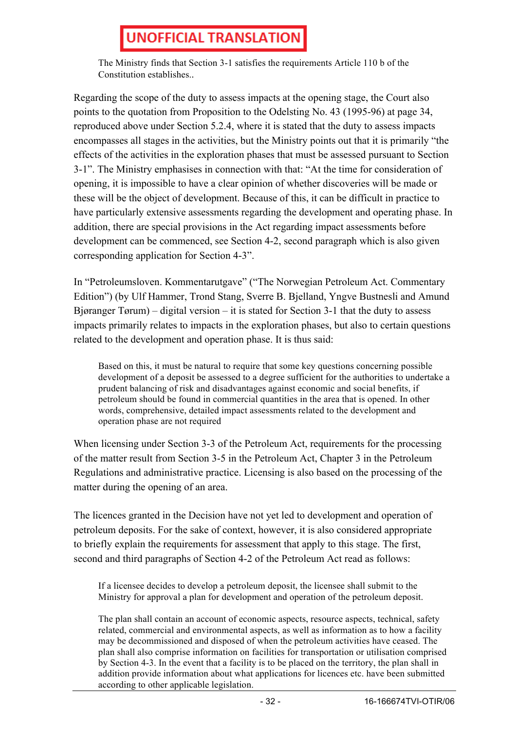The Ministry finds that Section 3-1 satisfies the requirements Article 110 b of the Constitution establishes..

Regarding the scope of the duty to assess impacts at the opening stage, the Court also points to the quotation from Proposition to the Odelsting No. 43 (1995-96) at page 34, reproduced above under Section 5.2.4, where it is stated that the duty to assess impacts encompasses all stages in the activities, but the Ministry points out that it is primarily "the effects of the activities in the exploration phases that must be assessed pursuant to Section 3-1". The Ministry emphasises in connection with that: "At the time for consideration of opening, it is impossible to have a clear opinion of whether discoveries will be made or these will be the object of development. Because of this, it can be difficult in practice to have particularly extensive assessments regarding the development and operating phase. In addition, there are special provisions in the Act regarding impact assessments before development can be commenced, see Section 4-2, second paragraph which is also given corresponding application for Section 4-3".

In "Petroleumsloven. Kommentarutgave" ("The Norwegian Petroleum Act. Commentary Edition") (by Ulf Hammer, Trond Stang, Sverre B. Bjelland, Yngve Bustnesli and Amund Bjøranger Tørum) – digital version – it is stated for Section 3-1 that the duty to assess impacts primarily relates to impacts in the exploration phases, but also to certain questions related to the development and operation phase. It is thus said:

Based on this, it must be natural to require that some key questions concerning possible development of a deposit be assessed to a degree sufficient for the authorities to undertake a prudent balancing of risk and disadvantages against economic and social benefits, if petroleum should be found in commercial quantities in the area that is opened. In other words, comprehensive, detailed impact assessments related to the development and operation phase are not required

When licensing under Section 3-3 of the Petroleum Act, requirements for the processing of the matter result from Section 3-5 in the Petroleum Act, Chapter 3 in the Petroleum Regulations and administrative practice. Licensing is also based on the processing of the matter during the opening of an area.

The licences granted in the Decision have not yet led to development and operation of petroleum deposits. For the sake of context, however, it is also considered appropriate to briefly explain the requirements for assessment that apply to this stage. The first, second and third paragraphs of Section 4-2 of the Petroleum Act read as follows:

If a licensee decides to develop a petroleum deposit, the licensee shall submit to the Ministry for approval a plan for development and operation of the petroleum deposit.

The plan shall contain an account of economic aspects, resource aspects, technical, safety related, commercial and environmental aspects, as well as information as to how a facility may be decommissioned and disposed of when the petroleum activities have ceased. The plan shall also comprise information on facilities for transportation or utilisation comprised by Section 4-3. In the event that a facility is to be placed on the territory, the plan shall in addition provide information about what applications for licences etc. have been submitted according to other applicable legislation.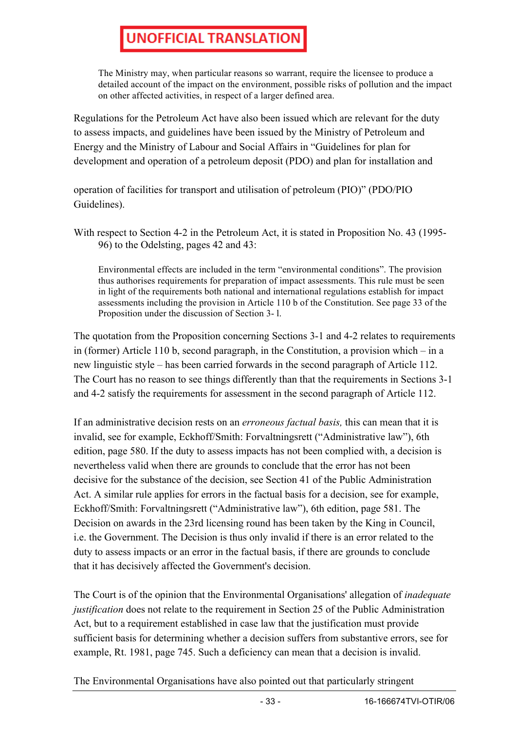The Ministry may, when particular reasons so warrant, require the licensee to produce a detailed account of the impact on the environment, possible risks of pollution and the impact on other affected activities, in respect of a larger defined area.

Regulations for the Petroleum Act have also been issued which are relevant for the duty to assess impacts, and guidelines have been issued by the Ministry of Petroleum and Energy and the Ministry of Labour and Social Affairs in "Guidelines for plan for development and operation of a petroleum deposit (PDO) and plan for installation and

operation of facilities for transport and utilisation of petroleum (PIO)" (PDO/PIO Guidelines).

With respect to Section 4-2 in the Petroleum Act, it is stated in Proposition No. 43 (1995- 96) to the Odelsting, pages 42 and 43:

Environmental effects are included in the term "environmental conditions". The provision thus authorises requirements for preparation of impact assessments. This rule must be seen in light of the requirements both national and international regulations establish for impact assessments including the provision in Article 110 b of the Constitution. See page 33 of the Proposition under the discussion of Section 3- l.

The quotation from the Proposition concerning Sections 3-1 and 4-2 relates to requirements in (former) Article 110 b, second paragraph, in the Constitution, a provision which – in a new linguistic style – has been carried forwards in the second paragraph of Article 112. The Court has no reason to see things differently than that the requirements in Sections 3-1 and 4-2 satisfy the requirements for assessment in the second paragraph of Article 112.

If an administrative decision rests on an *erroneous factual basis,* this can mean that it is invalid, see for example, Eckhoff/Smith: Forvaltningsrett ("Administrative law"), 6th edition, page 580. If the duty to assess impacts has not been complied with, a decision is nevertheless valid when there are grounds to conclude that the error has not been decisive for the substance of the decision, see Section 41 of the Public Administration Act. A similar rule applies for errors in the factual basis for a decision, see for example, Eckhoff/Smith: Forvaltningsrett ("Administrative law"), 6th edition, page 581. The Decision on awards in the 23rd licensing round has been taken by the King in Council, i.e. the Government. The Decision is thus only invalid if there is an error related to the duty to assess impacts or an error in the factual basis, if there are grounds to conclude that it has decisively affected the Government's decision.

The Court is of the opinion that the Environmental Organisations' allegation of *inadequate justification* does not relate to the requirement in Section 25 of the Public Administration Act, but to a requirement established in case law that the justification must provide sufficient basis for determining whether a decision suffers from substantive errors, see for example, Rt. 1981, page 745. Such a deficiency can mean that a decision is invalid.

The Environmental Organisations have also pointed out that particularly stringent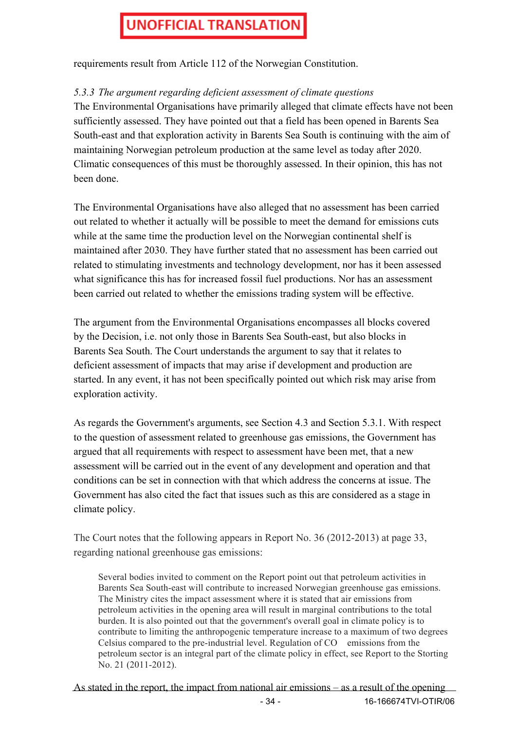requirements result from Article 112 of the Norwegian Constitution.

### *5.3.3 The argument regarding deficient assessment of climate questions*

The Environmental Organisations have primarily alleged that climate effects have not been sufficiently assessed. They have pointed out that a field has been opened in Barents Sea South-east and that exploration activity in Barents Sea South is continuing with the aim of maintaining Norwegian petroleum production at the same level as today after 2020. Climatic consequences of this must be thoroughly assessed. In their opinion, this has not been done.

The Environmental Organisations have also alleged that no assessment has been carried out related to whether it actually will be possible to meet the demand for emissions cuts while at the same time the production level on the Norwegian continental shelf is maintained after 2030. They have further stated that no assessment has been carried out related to stimulating investments and technology development, nor has it been assessed what significance this has for increased fossil fuel productions. Nor has an assessment been carried out related to whether the emissions trading system will be effective.

The argument from the Environmental Organisations encompasses all blocks covered by the Decision, i.e. not only those in Barents Sea South-east, but also blocks in Barents Sea South. The Court understands the argument to say that it relates to deficient assessment of impacts that may arise if development and production are started. In any event, it has not been specifically pointed out which risk may arise from exploration activity.

As regards the Government's arguments, see Section 4.3 and Section 5.3.1. With respect to the question of assessment related to greenhouse gas emissions, the Government has argued that all requirements with respect to assessment have been met, that a new assessment will be carried out in the event of any development and operation and that conditions can be set in connection with that which address the concerns at issue. The Government has also cited the fact that issues such as this are considered as a stage in climate policy.

The Court notes that the following appears in Report No. 36 (2012-2013) at page 33, regarding national greenhouse gas emissions:

Several bodies invited to comment on the Report point out that petroleum activities in Barents Sea South-east will contribute to increased Norwegian greenhouse gas emissions. The Ministry cites the impact assessment where it is stated that air emissions from petroleum activities in the opening area will result in marginal contributions to the total burden. It is also pointed out that the government's overall goal in climate policy is to contribute to limiting the anthropogenic temperature increase to a maximum of two degrees Celsius compared to the pre-industrial level. Regulation of CO emissions from the petroleum sector is an integral part of the climate policy in effect, see Report to the Storting No. 21 (2011-2012).

- 34 - 16-166674TVI-OTIR/06 As stated in the report, the impact from national air emissions – as a result of the opening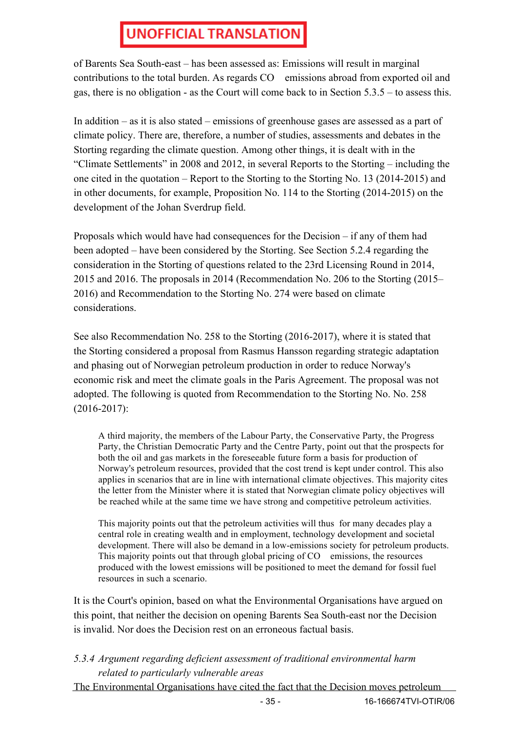of Barents Sea South-east – has been assessed as: Emissions will result in marginal contributions to the total burden. As regards CO emissions abroad from exported oil and gas, there is no obligation - as the Court will come back to in Section 5.3.5 – to assess this.

In addition – as it is also stated – emissions of greenhouse gases are assessed as a part of climate policy. There are, therefore, a number of studies, assessments and debates in the Storting regarding the climate question. Among other things, it is dealt with in the "Climate Settlements" in 2008 and 2012, in several Reports to the Storting – including the one cited in the quotation – Report to the Storting to the Storting No. 13 (2014-2015) and in other documents, for example, Proposition No. 114 to the Storting (2014-2015) on the development of the Johan Sverdrup field.

Proposals which would have had consequences for the Decision – if any of them had been adopted – have been considered by the Storting. See Section 5.2.4 regarding the consideration in the Storting of questions related to the 23rd Licensing Round in 2014, 2015 and 2016. The proposals in 2014 (Recommendation No. 206 to the Storting (2015– 2016) and Recommendation to the Storting No. 274 were based on climate considerations.

See also Recommendation No. 258 to the Storting (2016-2017), where it is stated that the Storting considered a proposal from Rasmus Hansson regarding strategic adaptation and phasing out of Norwegian petroleum production in order to reduce Norway's economic risk and meet the climate goals in the Paris Agreement. The proposal was not adopted. The following is quoted from Recommendation to the Storting No. No. 258 (2016-2017):

A third majority, the members of the Labour Party, the Conservative Party, the Progress Party, the Christian Democratic Party and the Centre Party, point out that the prospects for both the oil and gas markets in the foreseeable future form a basis for production of Norway's petroleum resources, provided that the cost trend is kept under control. This also applies in scenarios that are in line with international climate objectives. This majority cites the letter from the Minister where it is stated that Norwegian climate policy objectives will be reached while at the same time we have strong and competitive petroleum activities.

This majority points out that the petroleum activities will thus for many decades play a central role in creating wealth and in employment, technology development and societal development. There will also be demand in a low-emissions society for petroleum products. This majority points out that through global pricing of CO emissions, the resources produced with the lowest emissions will be positioned to meet the demand for fossil fuel resources in such a scenario.

It is the Court's opinion, based on what the Environmental Organisations have argued on this point, that neither the decision on opening Barents Sea South-east nor the Decision is invalid. Nor does the Decision rest on an erroneous factual basis.

- *5.3.4 Argument regarding deficient assessment of traditional environmental harm related to particularly vulnerable areas*
- The Environmental Organisations have cited the fact that the Decision moves petroleum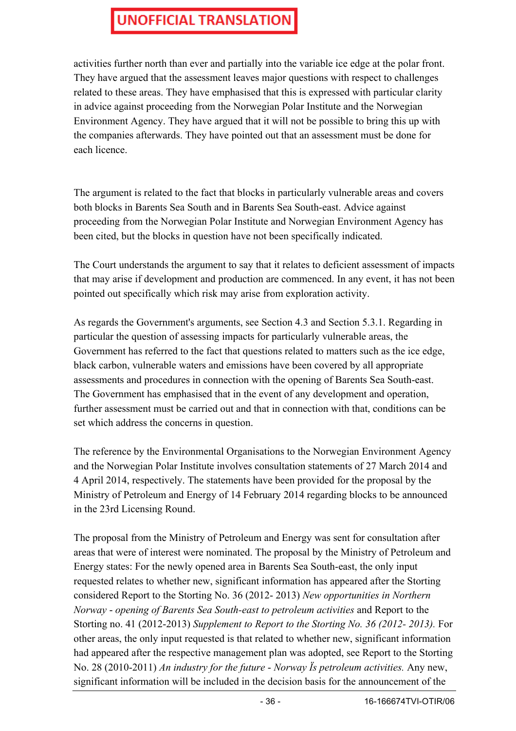activities further north than ever and partially into the variable ice edge at the polar front. They have argued that the assessment leaves major questions with respect to challenges related to these areas. They have emphasised that this is expressed with particular clarity in advice against proceeding from the Norwegian Polar Institute and the Norwegian Environment Agency. They have argued that it will not be possible to bring this up with the companies afterwards. They have pointed out that an assessment must be done for each licence.

The argument is related to the fact that blocks in particularly vulnerable areas and covers both blocks in Barents Sea South and in Barents Sea South-east. Advice against proceeding from the Norwegian Polar Institute and Norwegian Environment Agency has been cited, but the blocks in question have not been specifically indicated.

The Court understands the argument to say that it relates to deficient assessment of impacts that may arise if development and production are commenced. In any event, it has not been pointed out specifically which risk may arise from exploration activity.

As regards the Government's arguments, see Section 4.3 and Section 5.3.1. Regarding in particular the question of assessing impacts for particularly vulnerable areas, the Government has referred to the fact that questions related to matters such as the ice edge, black carbon, vulnerable waters and emissions have been covered by all appropriate assessments and procedures in connection with the opening of Barents Sea South-east. The Government has emphasised that in the event of any development and operation, further assessment must be carried out and that in connection with that, conditions can be set which address the concerns in question.

The reference by the Environmental Organisations to the Norwegian Environment Agency and the Norwegian Polar Institute involves consultation statements of 27 March 2014 and 4 April 2014, respectively. The statements have been provided for the proposal by the Ministry of Petroleum and Energy of 14 February 2014 regarding blocks to be announced in the 23rd Licensing Round.

The proposal from the Ministry of Petroleum and Energy was sent for consultation after areas that were of interest were nominated. The proposal by the Ministry of Petroleum and Energy states: For the newly opened area in Barents Sea South-east, the only input requested relates to whether new, significant information has appeared after the Storting considered Report to the Storting No. 36 (2012- 2013) *New opportunities in Northern Norway* - *opening of Barents Sea South-east to petroleum activities* and Report to the Storting no. 41 (2012-2013) *Supplement to Report to the Storting No. 36 (2012- 2013).* For other areas, the only input requested is that related to whether new, significant information had appeared after the respective management plan was adopted, see Report to the Storting No. 28 (2010-2011) *An industry for the future* - *Norway Ïs petroleum activities.* Any new, significant information will be included in the decision basis for the announcement of the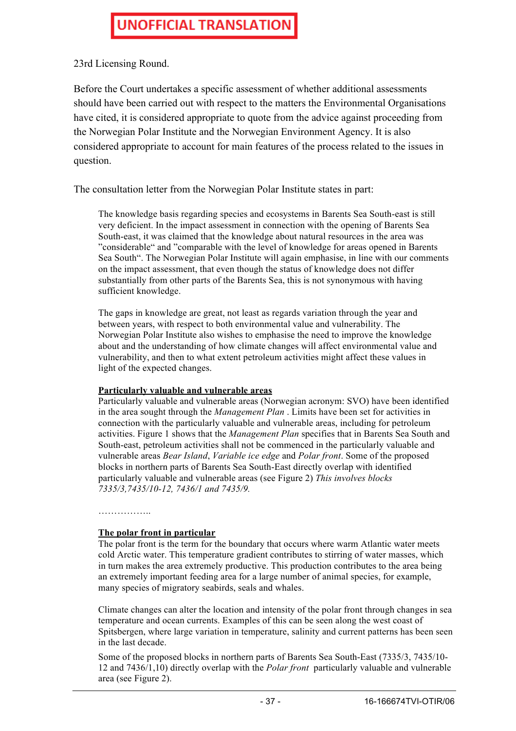23rd Licensing Round.

Before the Court undertakes a specific assessment of whether additional assessments should have been carried out with respect to the matters the Environmental Organisations have cited, it is considered appropriate to quote from the advice against proceeding from the Norwegian Polar Institute and the Norwegian Environment Agency. It is also considered appropriate to account for main features of the process related to the issues in question.

The consultation letter from the Norwegian Polar Institute states in part:

The knowledge basis regarding species and ecosystems in Barents Sea South-east is still very deficient. In the impact assessment in connection with the opening of Barents Sea South-east, it was claimed that the knowledge about natural resources in the area was "considerable" and "comparable with the level of knowledge for areas opened in Barents Sea South". The Norwegian Polar Institute will again emphasise, in line with our comments on the impact assessment, that even though the status of knowledge does not differ substantially from other parts of the Barents Sea, this is not synonymous with having sufficient knowledge.

The gaps in knowledge are great, not least as regards variation through the year and between years, with respect to both environmental value and vulnerability. The Norwegian Polar Institute also wishes to emphasise the need to improve the knowledge about and the understanding of how climate changes will affect environmental value and vulnerability, and then to what extent petroleum activities might affect these values in light of the expected changes.

#### **Particularly valuable and vulnerable areas**

Particularly valuable and vulnerable areas (Norwegian acronym: SVO) have been identified in the area sought through the *Management Plan* . Limits have been set for activities in connection with the particularly valuable and vulnerable areas, including for petroleum activities. Figure 1 shows that the *Management Plan* specifies that in Barents Sea South and South-east, petroleum activities shall not be commenced in the particularly valuable and vulnerable areas *Bear Island*, *Variable ice edge* and *Polar front*. Some of the proposed blocks in northern parts of Barents Sea South-East directly overlap with identified particularly valuable and vulnerable areas (see Figure 2) *This involves blocks 7335/3,7435/10-12, 7436/1 and 7435/9.*

#### ………………………

#### **The polar front in particular**

The polar front is the term for the boundary that occurs where warm Atlantic water meets cold Arctic water. This temperature gradient contributes to stirring of water masses, which in turn makes the area extremely productive. This production contributes to the area being an extremely important feeding area for a large number of animal species, for example, many species of migratory seabirds, seals and whales.

Climate changes can alter the location and intensity of the polar front through changes in sea temperature and ocean currents. Examples of this can be seen along the west coast of Spitsbergen, where large variation in temperature, salinity and current patterns has been seen in the last decade.

Some of the proposed blocks in northern parts of Barents Sea South-East (7335/3, 7435/10- 12 and 7436/1,10) directly overlap with the *Polar front* particularly valuable and vulnerable area (see Figure 2).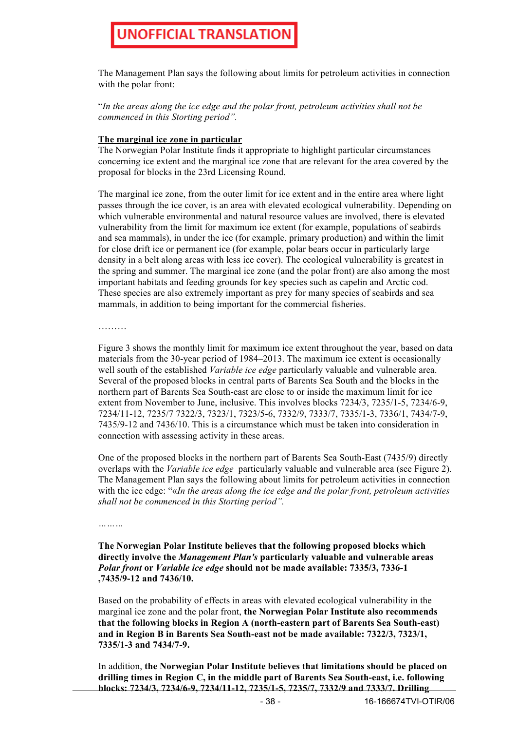The Management Plan says the following about limits for petroleum activities in connection with the polar front:

"*In the areas along the ice edge and the polar front, petroleum activities shall not be commenced in this Storting period".*

#### **The marginal ice zone in particular**

The Norwegian Polar Institute finds it appropriate to highlight particular circumstances concerning ice extent and the marginal ice zone that are relevant for the area covered by the proposal for blocks in the 23rd Licensing Round.

The marginal ice zone, from the outer limit for ice extent and in the entire area where light passes through the ice cover, is an area with elevated ecological vulnerability. Depending on which vulnerable environmental and natural resource values are involved, there is elevated vulnerability from the limit for maximum ice extent (for example, populations of seabirds and sea mammals), in under the ice (for example, primary production) and within the limit for close drift ice or permanent ice (for example, polar bears occur in particularly large density in a belt along areas with less ice cover). The ecological vulnerability is greatest in the spring and summer. The marginal ice zone (and the polar front) are also among the most important habitats and feeding grounds for key species such as capelin and Arctic cod. These species are also extremely important as prey for many species of seabirds and sea mammals, in addition to being important for the commercial fisheries.

………

Figure 3 shows the monthly limit for maximum ice extent throughout the year, based on data materials from the 30-year period of 1984–2013. The maximum ice extent is occasionally well south of the established *Variable ice edge* particularly valuable and vulnerable area. Several of the proposed blocks in central parts of Barents Sea South and the blocks in the northern part of Barents Sea South-east are close to or inside the maximum limit for ice extent from November to June, inclusive. This involves blocks 7234/3, 7235/1-5, 7234/6-9, 7234/11-12, 7235/7 7322/3, 7323/1, 7323/5-6, 7332/9, 7333/7, 7335/1-3, 7336/1, 7434/7-9, 7435/9-12 and 7436/10. This is a circumstance which must be taken into consideration in connection with assessing activity in these areas.

One of the proposed blocks in the northern part of Barents Sea South-East (7435/9) directly overlaps with the *Variable ice edge* particularly valuable and vulnerable area (see Figure 2). The Management Plan says the following about limits for petroleum activities in connection with the ice edge: "«*In the areas along the ice edge and the polar front, petroleum activities shall not be commenced in this Storting period".*

*………*

**The Norwegian Polar Institute believes that the following proposed blocks which directly involve the** *Management Plan's* **particularly valuable and vulnerable areas**  *Polar front* **or** *Variable ice edge* **should not be made available: 7335/3, 7336-1 ,7435/9-12 and 7436/10.**

Based on the probability of effects in areas with elevated ecological vulnerability in the marginal ice zone and the polar front, **the Norwegian Polar Institute also recommends that the following blocks in Region A (north-eastern part of Barents Sea South-east) and in Region B in Barents Sea South-east not be made available: 7322/3, 7323/1, 7335/1-3 and 7434/7-9.**

In addition, **the Norwegian Polar Institute believes that limitations should be placed on drilling times in Region C, in the middle part of Barents Sea South-east, i.e. following blocks: 7234/3, 7234/6-9, 7234/11-12, 7235/1-5, 7235/7, 7332/9 and 7333/7. Drilling**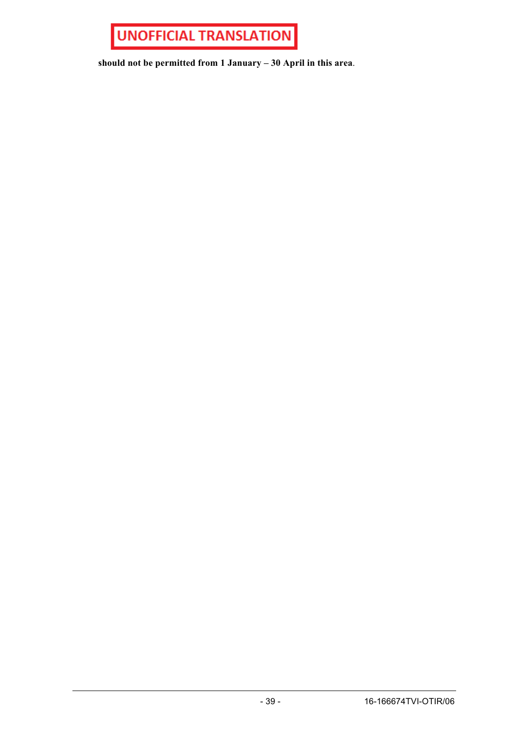

**should not be permitted from 1 January – 30 April in this area**.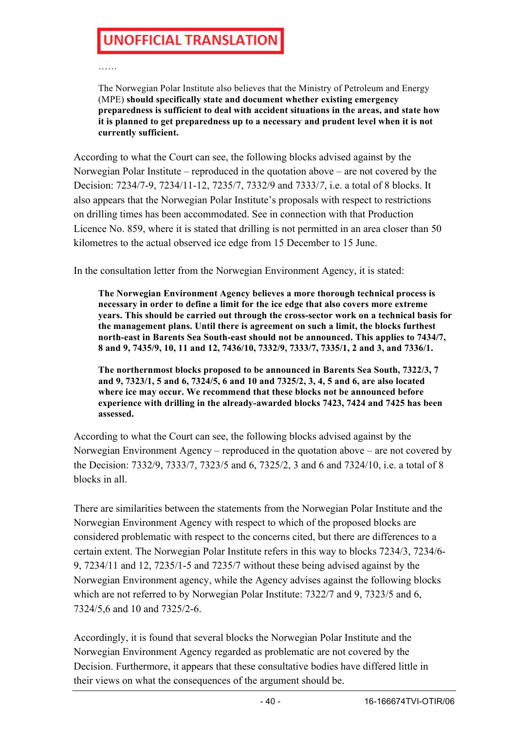……

The Norwegian Polar Institute also believes that the Ministry of Petroleum and Energy (MPE) **should specifically state and document whether existing emergency preparedness is sufficient to deal with accident situations in the areas, and state how it is planned to get preparedness up to a necessary and prudent level when it is not currently sufficient.**

According to what the Court can see, the following blocks advised against by the Norwegian Polar Institute – reproduced in the quotation above – are not covered by the Decision: 7234/7-9, 7234/11-12, 7235/7, 7332/9 and 7333/*7*, i.e. a total of 8 blocks. It also appears that the Norwegian Polar Institute's proposals with respect to restrictions on drilling times has been accommodated. See in connection with that Production Licence No. 859, where it is stated that drilling is not permitted in an area closer than 50 kilometres to the actual observed ice edge from 15 December to 15 June.

In the consultation letter from the Norwegian Environment Agency, it is stated:

**The Norwegian Environment Agency believes a more thorough technical process is necessary in order to define a limit for the ice edge that also covers more extreme years. This should be carried out through the cross-sector work on a technical basis for the management plans. Until there is agreement on such a limit, the blocks furthest north-east in Barents Sea South-east should not be announced. This applies to 7434/7, 8 and 9, 7435/9, 10, 11 and 12, 7436/10, 7332/9, 7333/7, 7335/1, 2 and 3, and 7336/1.**

**The northernmost blocks proposed to be announced in Barents Sea South, 7322/3, 7 and 9, 7323/1, 5 and 6, 7324/5, 6 and 10 and 7325/2, 3, 4, 5 and 6, are also located where ice may occur. We recommend that these blocks not be announced before experience with drilling in the already-awarded blocks 7423, 7424 and 7425 has been assessed.**

According to what the Court can see, the following blocks advised against by the Norwegian Environment Agency – reproduced in the quotation above – are not covered by the Decision: 7332/9, 7333/7, 7323/5 and 6, 7325/2, 3 and 6 and 7324/10, i.e. a total of 8 blocks in all.

There are similarities between the statements from the Norwegian Polar Institute and the Norwegian Environment Agency with respect to which of the proposed blocks are considered problematic with respect to the concerns cited, but there are differences to a certain extent. The Norwegian Polar Institute refers in this way to blocks 7234/3, 7234/6- 9, 7234/11 and 12, 7235/1-5 and 7235/7 without these being advised against by the Norwegian Environment agency, while the Agency advises against the following blocks which are not referred to by Norwegian Polar Institute: 7322/7 and 9, 7323/5 and 6, 7324/5,6 and 10 and 7325/2-6.

Accordingly, it is found that several blocks the Norwegian Polar Institute and the Norwegian Environment Agency regarded as problematic are not covered by the Decision. Furthermore, it appears that these consultative bodies have differed little in their views on what the consequences of the argument should be.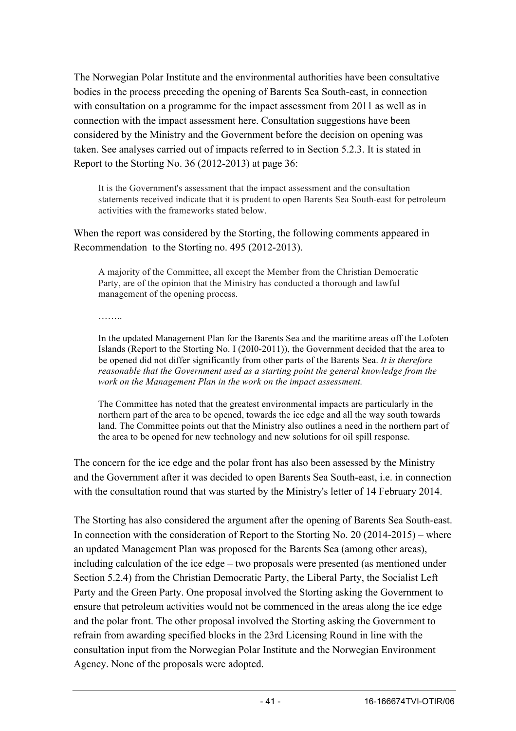The Norwegian Polar Institute and the environmental authorities have been consultative bodies in the process preceding the opening of Barents Sea South-east, in connection with consultation on a programme for the impact assessment from 2011 as well as in connection with the impact assessment here. Consultation suggestions have been considered by the Ministry and the Government before the decision on opening was taken. See analyses carried out of impacts referred to in Section 5.2.3. It is stated in Report to the Storting No. 36 (2012-2013) at page 36:

It is the Government's assessment that the impact assessment and the consultation statements received indicate that it is prudent to open Barents Sea South-east for petroleum activities with the frameworks stated below.

When the report was considered by the Storting, the following comments appeared in Recommendation to the Storting no. 495 (2012-2013).

A majority of the Committee, all except the Member from the Christian Democratic Party, are of the opinion that the Ministry has conducted a thorough and lawful management of the opening process.

………

In the updated Management Plan for the Barents Sea and the maritime areas off the Lofoten Islands (Report to the Storting No. I (20I0-2011)), the Government decided that the area to be opened did not differ significantly from other parts of the Barents Sea. *It is therefore reasonable that the Government used as a starting point the general knowledge from the work on the Management Plan in the work on the impact assessment.*

The Committee has noted that the greatest environmental impacts are particularly in the northern part of the area to be opened, towards the ice edge and all the way south towards land. The Committee points out that the Ministry also outlines a need in the northern part of the area to be opened for new technology and new solutions for oil spill response.

The concern for the ice edge and the polar front has also been assessed by the Ministry and the Government after it was decided to open Barents Sea South-east, i.e. in connection with the consultation round that was started by the Ministry's letter of 14 February 2014.

The Storting has also considered the argument after the opening of Barents Sea South-east. In connection with the consideration of Report to the Storting No. 20 (2014-2015) – where an updated Management Plan was proposed for the Barents Sea (among other areas), including calculation of the ice edge – two proposals were presented (as mentioned under Section 5.2.4) from the Christian Democratic Party, the Liberal Party, the Socialist Left Party and the Green Party. One proposal involved the Storting asking the Government to ensure that petroleum activities would not be commenced in the areas along the ice edge and the polar front. The other proposal involved the Storting asking the Government to refrain from awarding specified blocks in the 23rd Licensing Round in line with the consultation input from the Norwegian Polar Institute and the Norwegian Environment Agency. None of the proposals were adopted.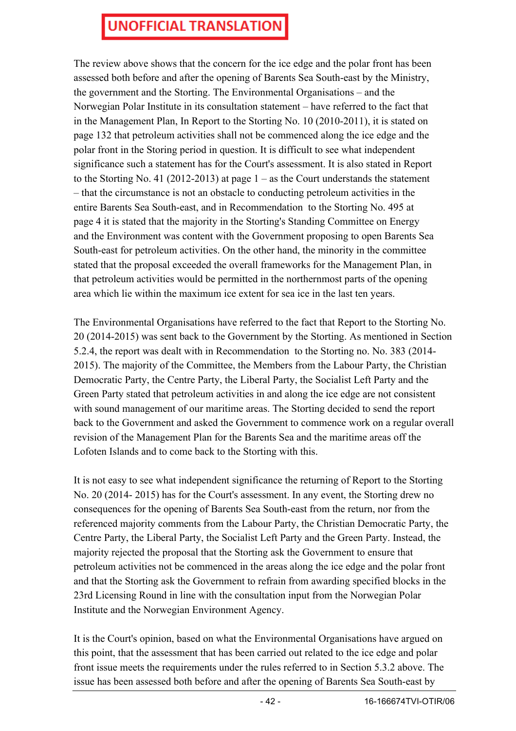The review above shows that the concern for the ice edge and the polar front has been assessed both before and after the opening of Barents Sea South-east by the Ministry, the government and the Storting. The Environmental Organisations – and the Norwegian Polar Institute in its consultation statement – have referred to the fact that in the Management Plan, In Report to the Storting No. 10 (2010-2011), it is stated on page 132 that petroleum activities shall not be commenced along the ice edge and the polar front in the Storing period in question. It is difficult to see what independent significance such a statement has for the Court's assessment. It is also stated in Report to the Storting No. 41 (2012-2013) at page  $1 -$  as the Court understands the statement – that the circumstance is not an obstacle to conducting petroleum activities in the entire Barents Sea South-east, and in Recommendation to the Storting No. 495 at page 4 it is stated that the majority in the Storting's Standing Committee on Energy and the Environment was content with the Government proposing to open Barents Sea South-east for petroleum activities. On the other hand, the minority in the committee stated that the proposal exceeded the overall frameworks for the Management Plan, in that petroleum activities would be permitted in the northernmost parts of the opening area which lie within the maximum ice extent for sea ice in the last ten years.

The Environmental Organisations have referred to the fact that Report to the Storting No. 20 (2014-2015) was sent back to the Government by the Storting. As mentioned in Section 5.2.4, the report was dealt with in Recommendation to the Storting no. No. 383 (2014- 2015). The majority of the Committee, the Members from the Labour Party, the Christian Democratic Party, the Centre Party, the Liberal Party, the Socialist Left Party and the Green Party stated that petroleum activities in and along the ice edge are not consistent with sound management of our maritime areas. The Storting decided to send the report back to the Government and asked the Government to commence work on a regular overall revision of the Management Plan for the Barents Sea and the maritime areas off the Lofoten Islands and to come back to the Storting with this.

It is not easy to see what independent significance the returning of Report to the Storting No. 20 (2014- 2015) has for the Court's assessment. In any event, the Storting drew no consequences for the opening of Barents Sea South-east from the return, nor from the referenced majority comments from the Labour Party, the Christian Democratic Party, the Centre Party, the Liberal Party, the Socialist Left Party and the Green Party. Instead, the majority rejected the proposal that the Storting ask the Government to ensure that petroleum activities not be commenced in the areas along the ice edge and the polar front and that the Storting ask the Government to refrain from awarding specified blocks in the 23rd Licensing Round in line with the consultation input from the Norwegian Polar Institute and the Norwegian Environment Agency.

It is the Court's opinion, based on what the Environmental Organisations have argued on this point, that the assessment that has been carried out related to the ice edge and polar front issue meets the requirements under the rules referred to in Section 5.3.2 above. The issue has been assessed both before and after the opening of Barents Sea South-east by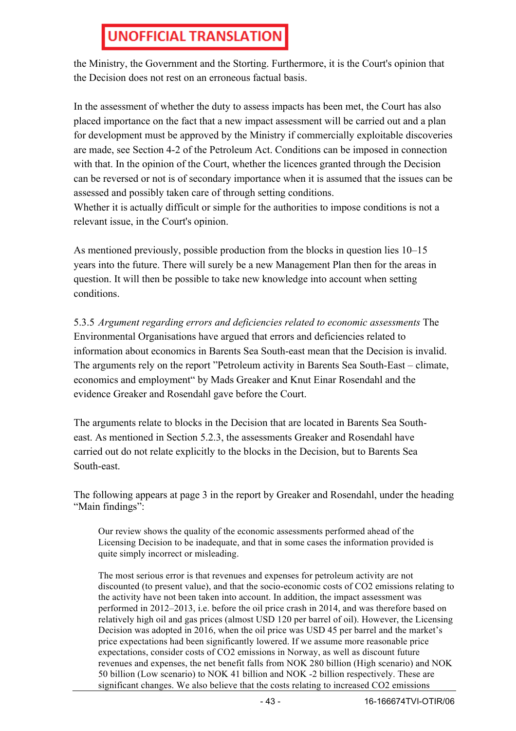the Ministry, the Government and the Storting. Furthermore, it is the Court's opinion that the Decision does not rest on an erroneous factual basis.

In the assessment of whether the duty to assess impacts has been met, the Court has also placed importance on the fact that a new impact assessment will be carried out and a plan for development must be approved by the Ministry if commercially exploitable discoveries are made, see Section 4-2 of the Petroleum Act. Conditions can be imposed in connection with that. In the opinion of the Court, whether the licences granted through the Decision can be reversed or not is of secondary importance when it is assumed that the issues can be assessed and possibly taken care of through setting conditions.

Whether it is actually difficult or simple for the authorities to impose conditions is not a relevant issue, in the Court's opinion.

As mentioned previously, possible production from the blocks in question lies 10–15 years into the future. There will surely be a new Management Plan then for the areas in question. It will then be possible to take new knowledge into account when setting conditions.

5.3.5 *Argument regarding errors and deficiencies related to economic assessments* The Environmental Organisations have argued that errors and deficiencies related to information about economics in Barents Sea South-east mean that the Decision is invalid. The arguments rely on the report "Petroleum activity in Barents Sea South-East – climate, economics and employment" by Mads Greaker and Knut Einar Rosendahl and the evidence Greaker and Rosendahl gave before the Court.

The arguments relate to blocks in the Decision that are located in Barents Sea Southeast. As mentioned in Section 5.2.3, the assessments Greaker and Rosendahl have carried out do not relate explicitly to the blocks in the Decision, but to Barents Sea South-east.

The following appears at page 3 in the report by Greaker and Rosendahl, under the heading "Main findings":

Our review shows the quality of the economic assessments performed ahead of the Licensing Decision to be inadequate, and that in some cases the information provided is quite simply incorrect or misleading.

The most serious error is that revenues and expenses for petroleum activity are not discounted (to present value), and that the socio-economic costs of CO2 emissions relating to the activity have not been taken into account. In addition, the impact assessment was performed in 2012–2013, i.e. before the oil price crash in 2014, and was therefore based on relatively high oil and gas prices (almost USD 120 per barrel of oil). However, the Licensing Decision was adopted in 2016, when the oil price was USD 45 per barrel and the market's price expectations had been significantly lowered. If we assume more reasonable price expectations, consider costs of CO2 emissions in Norway, as well as discount future revenues and expenses, the net benefit falls from NOK 280 billion (High scenario) and NOK 50 billion (Low scenario) to NOK 41 billion and NOK -2 billion respectively. These are significant changes. We also believe that the costs relating to increased CO2 emissions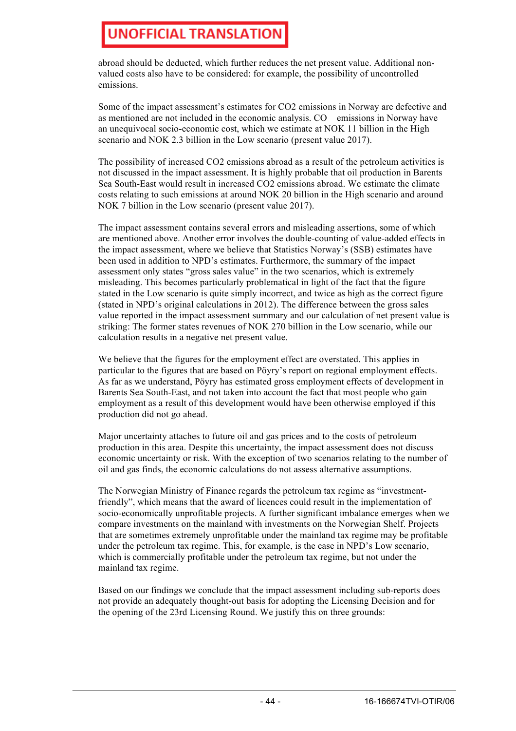abroad should be deducted, which further reduces the net present value. Additional nonvalued costs also have to be considered: for example, the possibility of uncontrolled emissions.

Some of the impact assessment's estimates for CO2 emissions in Norway are defective and as mentioned are not included in the economic analysis. CO emissions in Norway have an unequivocal socio-economic cost, which we estimate at NOK 11 billion in the High scenario and NOK 2.3 billion in the Low scenario (present value 2017).

The possibility of increased CO2 emissions abroad as a result of the petroleum activities is not discussed in the impact assessment. It is highly probable that oil production in Barents Sea South-East would result in increased CO2 emissions abroad. We estimate the climate costs relating to such emissions at around NOK 20 billion in the High scenario and around NOK 7 billion in the Low scenario (present value 2017).

The impact assessment contains several errors and misleading assertions, some of which are mentioned above. Another error involves the double-counting of value-added effects in the impact assessment, where we believe that Statistics Norway's (SSB) estimates have been used in addition to NPD's estimates. Furthermore, the summary of the impact assessment only states "gross sales value" in the two scenarios, which is extremely misleading. This becomes particularly problematical in light of the fact that the figure stated in the Low scenario is quite simply incorrect, and twice as high as the correct figure (stated in NPD's original calculations in 2012). The difference between the gross sales value reported in the impact assessment summary and our calculation of net present value is striking: The former states revenues of NOK 270 billion in the Low scenario, while our calculation results in a negative net present value.

We believe that the figures for the employment effect are overstated. This applies in particular to the figures that are based on Pöyry's report on regional employment effects. As far as we understand, Pöyry has estimated gross employment effects of development in Barents Sea South-East, and not taken into account the fact that most people who gain employment as a result of this development would have been otherwise employed if this production did not go ahead.

Major uncertainty attaches to future oil and gas prices and to the costs of petroleum production in this area. Despite this uncertainty, the impact assessment does not discuss economic uncertainty or risk. With the exception of two scenarios relating to the number of oil and gas finds, the economic calculations do not assess alternative assumptions.

The Norwegian Ministry of Finance regards the petroleum tax regime as "investmentfriendly", which means that the award of licences could result in the implementation of socio-economically unprofitable projects. A further significant imbalance emerges when we compare investments on the mainland with investments on the Norwegian Shelf. Projects that are sometimes extremely unprofitable under the mainland tax regime may be profitable under the petroleum tax regime. This, for example, is the case in NPD's Low scenario, which is commercially profitable under the petroleum tax regime, but not under the mainland tax regime.

Based on our findings we conclude that the impact assessment including sub-reports does not provide an adequately thought-out basis for adopting the Licensing Decision and for the opening of the 23rd Licensing Round. We justify this on three grounds: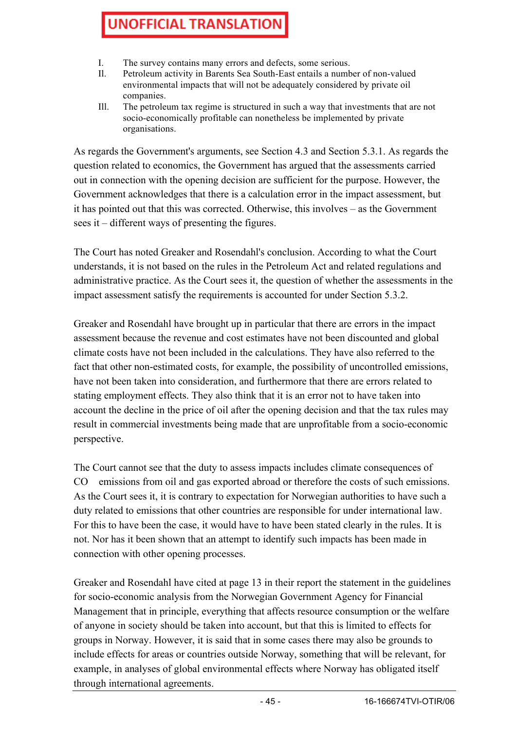- I. The survey contains many errors and defects, some serious.
- Il. Petroleum activity in Barents Sea South-East entails a number of non-valued environmental impacts that will not be adequately considered by private oil companies.
- Ill. The petroleum tax regime is structured in such a way that investments that are not socio-economically profitable can nonetheless be implemented by private organisations.

As regards the Government's arguments, see Section 4.3 and Section 5.3.1. As regards the question related to economics, the Government has argued that the assessments carried out in connection with the opening decision are sufficient for the purpose. However, the Government acknowledges that there is a calculation error in the impact assessment, but it has pointed out that this was corrected. Otherwise, this involves – as the Government sees it – different ways of presenting the figures.

The Court has noted Greaker and Rosendahl's conclusion. According to what the Court understands, it is not based on the rules in the Petroleum Act and related regulations and administrative practice. As the Court sees it, the question of whether the assessments in the impact assessment satisfy the requirements is accounted for under Section 5.3.2.

Greaker and Rosendahl have brought up in particular that there are errors in the impact assessment because the revenue and cost estimates have not been discounted and global climate costs have not been included in the calculations. They have also referred to the fact that other non-estimated costs, for example, the possibility of uncontrolled emissions, have not been taken into consideration, and furthermore that there are errors related to stating employment effects. They also think that it is an error not to have taken into account the decline in the price of oil after the opening decision and that the tax rules may result in commercial investments being made that are unprofitable from a socio-economic perspective.

The Court cannot see that the duty to assess impacts includes climate consequences of CO emissions from oil and gas exported abroad or therefore the costs of such emissions. As the Court sees it, it is contrary to expectation for Norwegian authorities to have such a duty related to emissions that other countries are responsible for under international law. For this to have been the case, it would have to have been stated clearly in the rules. It is not. Nor has it been shown that an attempt to identify such impacts has been made in connection with other opening processes.

Greaker and Rosendahl have cited at page 13 in their report the statement in the guidelines for socio-economic analysis from the Norwegian Government Agency for Financial Management that in principle, everything that affects resource consumption or the welfare of anyone in society should be taken into account, but that this is limited to effects for groups in Norway. However, it is said that in some cases there may also be grounds to include effects for areas or countries outside Norway, something that will be relevant, for example, in analyses of global environmental effects where Norway has obligated itself through international agreements.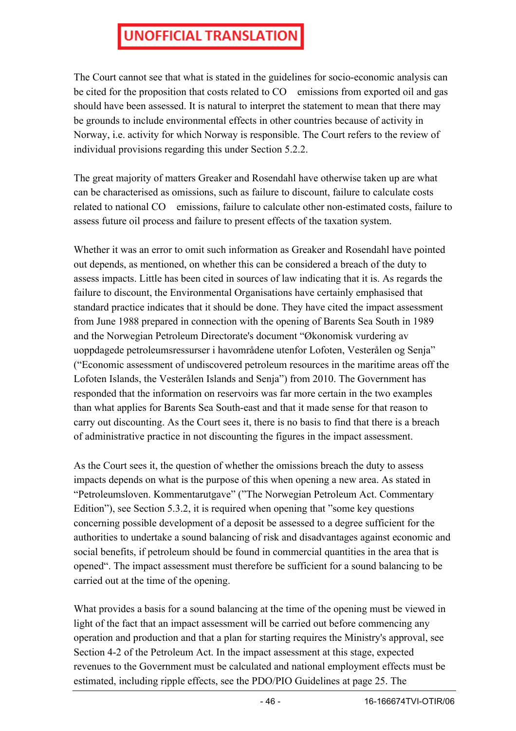The Court cannot see that what is stated in the guidelines for socio-economic analysis can be cited for the proposition that costs related to CO emissions from exported oil and gas should have been assessed. It is natural to interpret the statement to mean that there may be grounds to include environmental effects in other countries because of activity in Norway, i.e. activity for which Norway is responsible. The Court refers to the review of individual provisions regarding this under Section 5.2.2.

The great majority of matters Greaker and Rosendahl have otherwise taken up are what can be characterised as omissions, such as failure to discount, failure to calculate costs related to national CO emissions, failure to calculate other non-estimated costs, failure to assess future oil process and failure to present effects of the taxation system.

Whether it was an error to omit such information as Greaker and Rosendahl have pointed out depends, as mentioned, on whether this can be considered a breach of the duty to assess impacts. Little has been cited in sources of law indicating that it is. As regards the failure to discount, the Environmental Organisations have certainly emphasised that standard practice indicates that it should be done. They have cited the impact assessment from June 1988 prepared in connection with the opening of Barents Sea South in 1989 and the Norwegian Petroleum Directorate's document "Økonomisk vurdering av uoppdagede petroleumsressurser i havområdene utenfor Lofoten, Vesterålen og Senja" ("Economic assessment of undiscovered petroleum resources in the maritime areas off the Lofoten Islands, the Vesterålen Islands and Senja") from 2010. The Government has responded that the information on reservoirs was far more certain in the two examples than what applies for Barents Sea South-east and that it made sense for that reason to carry out discounting. As the Court sees it, there is no basis to find that there is a breach of administrative practice in not discounting the figures in the impact assessment.

As the Court sees it, the question of whether the omissions breach the duty to assess impacts depends on what is the purpose of this when opening a new area. As stated in "Petroleumsloven. Kommentarutgave" ("The Norwegian Petroleum Act. Commentary Edition"), see Section 5.3.2, it is required when opening that "some key questions concerning possible development of a deposit be assessed to a degree sufficient for the authorities to undertake a sound balancing of risk and disadvantages against economic and social benefits, if petroleum should be found in commercial quantities in the area that is opened". The impact assessment must therefore be sufficient for a sound balancing to be carried out at the time of the opening.

What provides a basis for a sound balancing at the time of the opening must be viewed in light of the fact that an impact assessment will be carried out before commencing any operation and production and that a plan for starting requires the Ministry's approval, see Section 4-2 of the Petroleum Act. In the impact assessment at this stage, expected revenues to the Government must be calculated and national employment effects must be estimated, including ripple effects, see the PDO/PIO Guidelines at page 25. The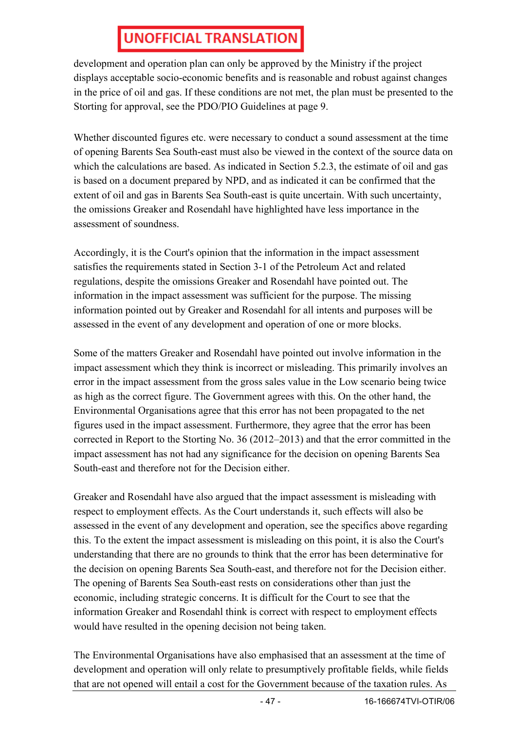development and operation plan can only be approved by the Ministry if the project displays acceptable socio-economic benefits and is reasonable and robust against changes in the price of oil and gas. If these conditions are not met, the plan must be presented to the Storting for approval, see the PDO/PIO Guidelines at page 9.

Whether discounted figures etc. were necessary to conduct a sound assessment at the time of opening Barents Sea South-east must also be viewed in the context of the source data on which the calculations are based. As indicated in Section 5.2.3, the estimate of oil and gas is based on a document prepared by NPD, and as indicated it can be confirmed that the extent of oil and gas in Barents Sea South-east is quite uncertain. With such uncertainty, the omissions Greaker and Rosendahl have highlighted have less importance in the assessment of soundness.

Accordingly, it is the Court's opinion that the information in the impact assessment satisfies the requirements stated in Section 3-1 of the Petroleum Act and related regulations, despite the omissions Greaker and Rosendahl have pointed out. The information in the impact assessment was sufficient for the purpose. The missing information pointed out by Greaker and Rosendahl for all intents and purposes will be assessed in the event of any development and operation of one or more blocks.

Some of the matters Greaker and Rosendahl have pointed out involve information in the impact assessment which they think is incorrect or misleading. This primarily involves an error in the impact assessment from the gross sales value in the Low scenario being twice as high as the correct figure. The Government agrees with this. On the other hand, the Environmental Organisations agree that this error has not been propagated to the net figures used in the impact assessment. Furthermore, they agree that the error has been corrected in Report to the Storting No. 36 (2012–2013) and that the error committed in the impact assessment has not had any significance for the decision on opening Barents Sea South-east and therefore not for the Decision either.

Greaker and Rosendahl have also argued that the impact assessment is misleading with respect to employment effects. As the Court understands it, such effects will also be assessed in the event of any development and operation, see the specifics above regarding this. To the extent the impact assessment is misleading on this point, it is also the Court's understanding that there are no grounds to think that the error has been determinative for the decision on opening Barents Sea South-east, and therefore not for the Decision either. The opening of Barents Sea South-east rests on considerations other than just the economic, including strategic concerns. It is difficult for the Court to see that the information Greaker and Rosendahl think is correct with respect to employment effects would have resulted in the opening decision not being taken.

The Environmental Organisations have also emphasised that an assessment at the time of development and operation will only relate to presumptively profitable fields, while fields that are not opened will entail a cost for the Government because of the taxation rules. As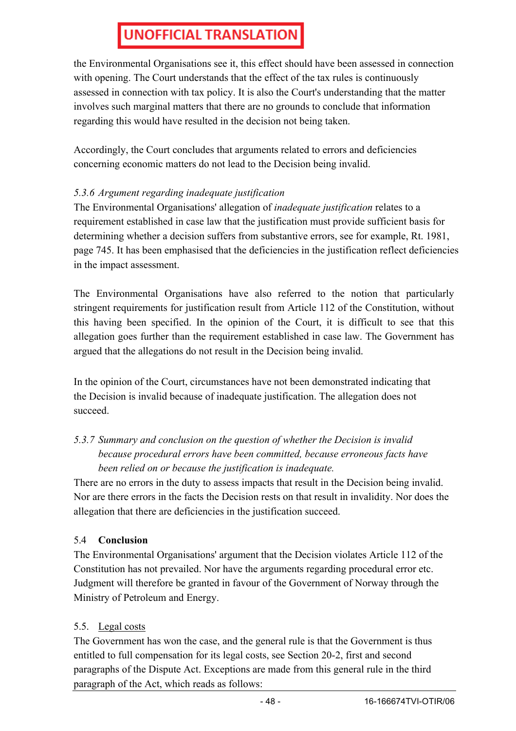the Environmental Organisations see it, this effect should have been assessed in connection with opening. The Court understands that the effect of the tax rules is continuously assessed in connection with tax policy. It is also the Court's understanding that the matter involves such marginal matters that there are no grounds to conclude that information regarding this would have resulted in the decision not being taken.

Accordingly, the Court concludes that arguments related to errors and deficiencies concerning economic matters do not lead to the Decision being invalid.

### *5.3.6 Argument regarding inadequate justification*

The Environmental Organisations' allegation of *inadequate justification* relates to a requirement established in case law that the justification must provide sufficient basis for determining whether a decision suffers from substantive errors, see for example, Rt. 1981, page 745. It has been emphasised that the deficiencies in the justification reflect deficiencies in the impact assessment.

The Environmental Organisations have also referred to the notion that particularly stringent requirements for justification result from Article 112 of the Constitution, without this having been specified. In the opinion of the Court, it is difficult to see that this allegation goes further than the requirement established in case law. The Government has argued that the allegations do not result in the Decision being invalid.

In the opinion of the Court, circumstances have not been demonstrated indicating that the Decision is invalid because of inadequate justification. The allegation does not succeed.

### *5.3.7 Summary and conclusion on the question of whether the Decision is invalid because procedural errors have been committed, because erroneous facts have been relied on or because the justification is inadequate.*

There are no errors in the duty to assess impacts that result in the Decision being invalid. Nor are there errors in the facts the Decision rests on that result in invalidity. Nor does the allegation that there are deficiencies in the justification succeed.

### 5.4 **Conclusion**

The Environmental Organisations' argument that the Decision violates Article 112 of the Constitution has not prevailed. Nor have the arguments regarding procedural error etc. Judgment will therefore be granted in favour of the Government of Norway through the Ministry of Petroleum and Energy.

### 5.5. Legal costs

The Government has won the case, and the general rule is that the Government is thus entitled to full compensation for its legal costs, see Section 20-2, first and second paragraphs of the Dispute Act. Exceptions are made from this general rule in the third paragraph of the Act, which reads as follows: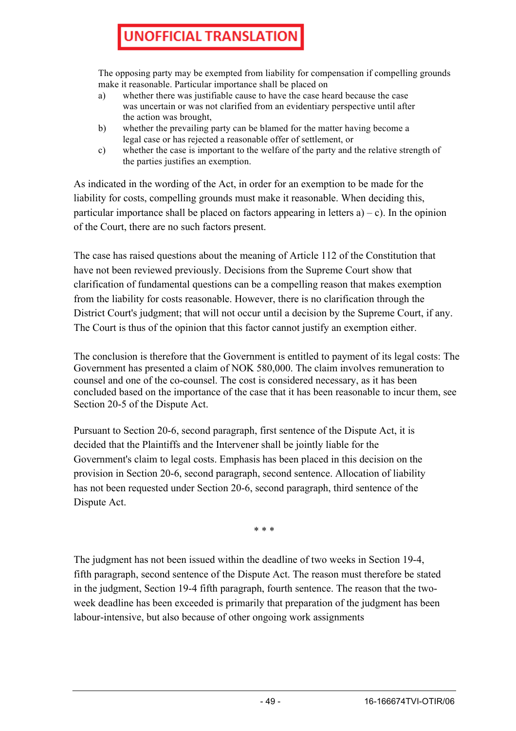The opposing party may be exempted from liability for compensation if compelling grounds make it reasonable. Particular importance shall be placed on

- a) whether there was justifiable cause to have the case heard because the case was uncertain or was not clarified from an evidentiary perspective until after the action was brought,
- b) whether the prevailing party can be blamed for the matter having become a legal case or has rejected a reasonable offer of settlement, or
- c) whether the case is important to the welfare of the party and the relative strength of the parties justifies an exemption.

As indicated in the wording of the Act, in order for an exemption to be made for the liability for costs, compelling grounds must make it reasonable. When deciding this, particular importance shall be placed on factors appearing in letters  $a$ ) – c). In the opinion of the Court, there are no such factors present.

The case has raised questions about the meaning of Article 112 of the Constitution that have not been reviewed previously. Decisions from the Supreme Court show that clarification of fundamental questions can be a compelling reason that makes exemption from the liability for costs reasonable. However, there is no clarification through the District Court's judgment; that will not occur until a decision by the Supreme Court, if any. The Court is thus of the opinion that this factor cannot justify an exemption either.

The conclusion is therefore that the Government is entitled to payment of its legal costs: The Government has presented a claim of NOK 580,000. The claim involves remuneration to counsel and one of the co-counsel. The cost is considered necessary, as it has been concluded based on the importance of the case that it has been reasonable to incur them, see Section 20-5 of the Dispute Act.

Pursuant to Section 20-6, second paragraph, first sentence of the Dispute Act, it is decided that the Plaintiffs and the Intervener shall be jointly liable for the Government's claim to legal costs. Emphasis has been placed in this decision on the provision in Section 20-6, second paragraph, second sentence. Allocation of liability has not been requested under Section 20-6, second paragraph, third sentence of the Dispute Act.

\* \* \*

The judgment has not been issued within the deadline of two weeks in Section 19-4, fifth paragraph, second sentence of the Dispute Act. The reason must therefore be stated in the judgment, Section 19-4 fifth paragraph, fourth sentence. The reason that the twoweek deadline has been exceeded is primarily that preparation of the judgment has been labour-intensive, but also because of other ongoing work assignments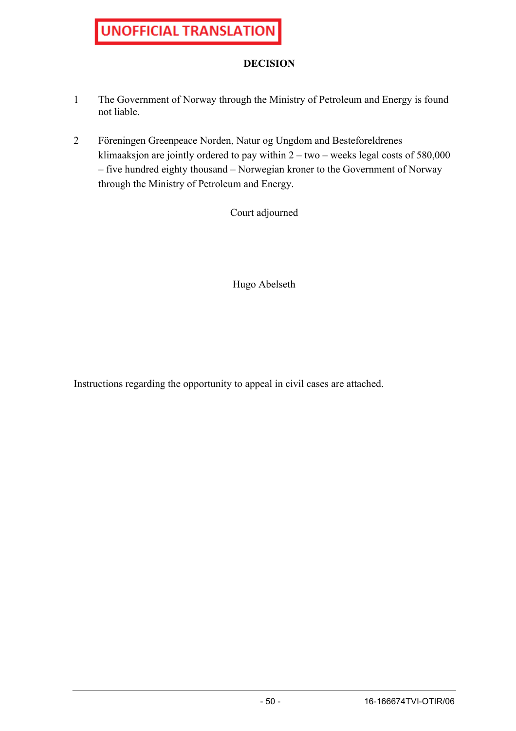#### **DECISION**

- 1 The Government of Norway through the Ministry of Petroleum and Energy is found not liable.
- 2 Föreningen Greenpeace Norden, Natur og Ungdom and Besteforeldrenes klimaaksjon are jointly ordered to pay within  $2 - two - weeks$  legal costs of 580,000 – five hundred eighty thousand – Norwegian kroner to the Government of Norway through the Ministry of Petroleum and Energy.

Court adjourned

Hugo Abelseth

Instructions regarding the opportunity to appeal in civil cases are attached.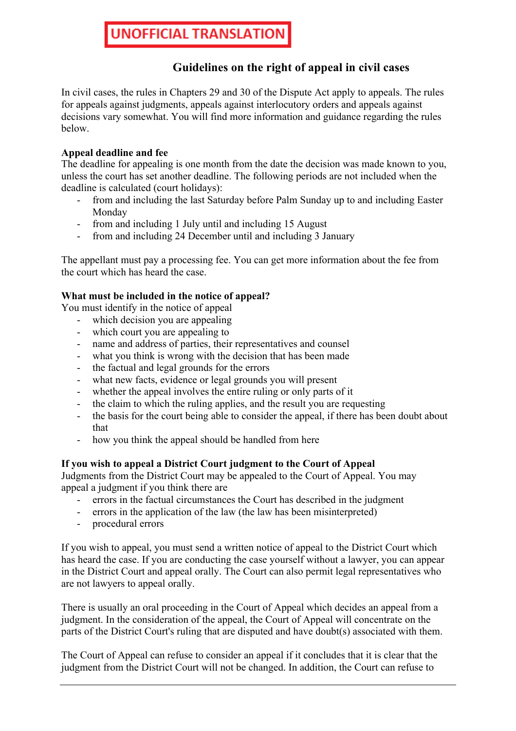### **Guidelines on the right of appeal in civil cases**

In civil cases, the rules in Chapters 29 and 30 of the Dispute Act apply to appeals. The rules for appeals against judgments, appeals against interlocutory orders and appeals against decisions vary somewhat. You will find more information and guidance regarding the rules below.

#### **Appeal deadline and fee**

The deadline for appealing is one month from the date the decision was made known to you, unless the court has set another deadline. The following periods are not included when the deadline is calculated (court holidays):

- from and including the last Saturday before Palm Sunday up to and including Easter Monday
- from and including 1 July until and including 15 August
- from and including 24 December until and including 3 January

The appellant must pay a processing fee. You can get more information about the fee from the court which has heard the case.

#### **What must be included in the notice of appeal?**

You must identify in the notice of appeal

- which decision you are appealing
- which court you are appealing to
- name and address of parties, their representatives and counsel
- what you think is wrong with the decision that has been made
- the factual and legal grounds for the errors
- what new facts, evidence or legal grounds you will present
- whether the appeal involves the entire ruling or only parts of it
- the claim to which the ruling applies, and the result you are requesting
- the basis for the court being able to consider the appeal, if there has been doubt about that
- how you think the appeal should be handled from here

#### **If you wish to appeal a District Court judgment to the Court of Appeal**

Judgments from the District Court may be appealed to the Court of Appeal. You may appeal a judgment if you think there are

- errors in the factual circumstances the Court has described in the judgment
- errors in the application of the law (the law has been misinterpreted)
- procedural errors

If you wish to appeal, you must send a written notice of appeal to the District Court which has heard the case. If you are conducting the case yourself without a lawyer, you can appear in the District Court and appeal orally. The Court can also permit legal representatives who are not lawyers to appeal orally.

There is usually an oral proceeding in the Court of Appeal which decides an appeal from a judgment. In the consideration of the appeal, the Court of Appeal will concentrate on the parts of the District Court's ruling that are disputed and have doubt(s) associated with them.

The Court of Appeal can refuse to consider an appeal if it concludes that it is clear that the judgment from the District Court will not be changed. In addition, the Court can refuse to